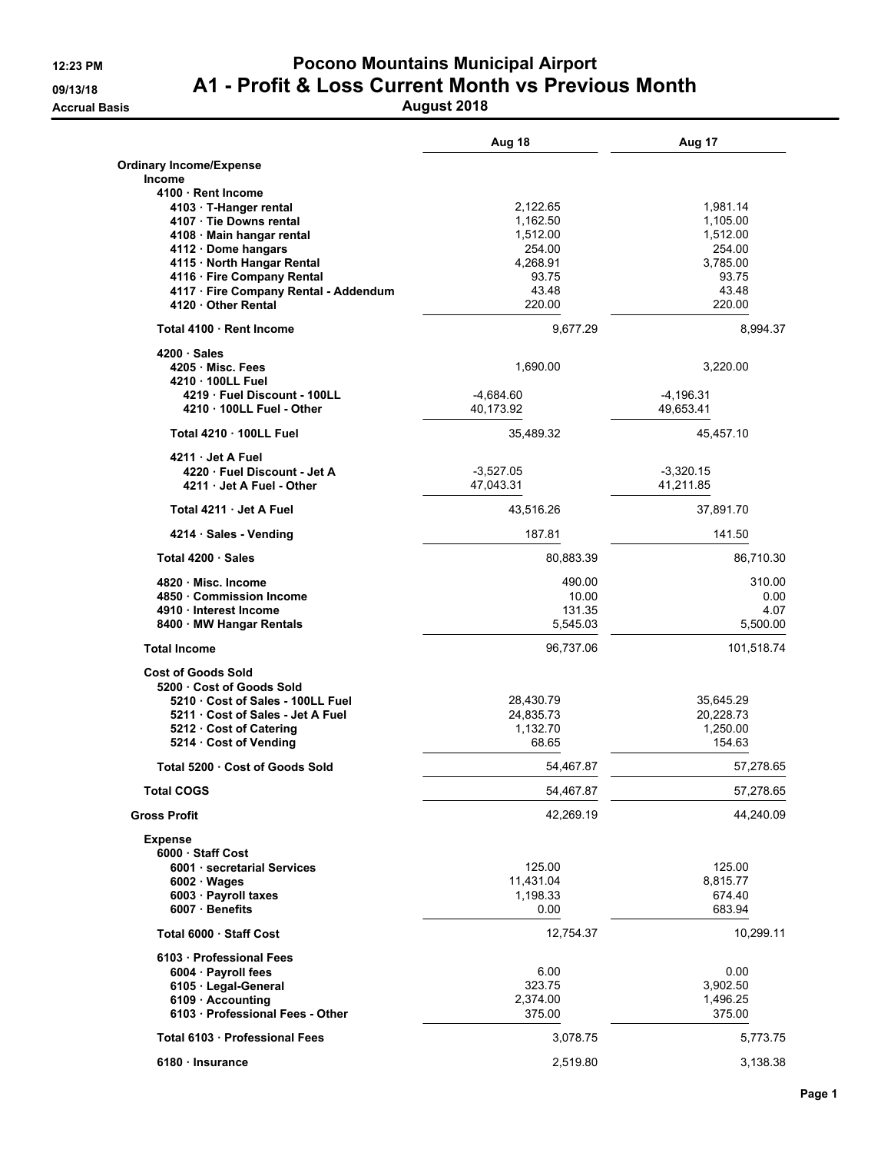### **12:23 PM Pocono Mountains Municipal Airport 09/13/18 A1 - Profit & Loss Current Month vs Previous Month Accrual Basis August 2018**

|                                                          | Aug 18            | Aug 17            |
|----------------------------------------------------------|-------------------|-------------------|
| <b>Ordinary Income/Expense</b>                           |                   |                   |
| <b>Income</b>                                            |                   |                   |
| 4100 · Rent Income                                       |                   |                   |
| 4103 · T-Hanger rental                                   | 2,122.65          | 1,981.14          |
| 4107 · Tie Downs rental                                  | 1,162.50          | 1,105.00          |
| 4108 Main hangar rental                                  | 1.512.00          | 1,512.00          |
| 4112 · Dome hangars                                      | 254.00            | 254.00            |
| 4115 · North Hangar Rental<br>4116 · Fire Company Rental | 4,268.91<br>93.75 | 3,785.00<br>93.75 |
| 4117 · Fire Company Rental - Addendum                    | 43.48             | 43.48             |
| 4120 Other Rental                                        | 220.00            | 220.00            |
| Total 4100 Rent Income                                   | 9,677.29          | 8,994.37          |
| 4200 Sales                                               |                   |                   |
| 4205 Misc. Fees                                          | 1,690.00          | 3,220.00          |
| 4210 . 100LL Fuel                                        |                   |                   |
| 4219 Fuel Discount - 100LL                               | $-4,684.60$       | $-4,196.31$       |
| 4210 . 100LL Fuel - Other                                | 40,173.92         | 49,653.41         |
| Total 4210 · 100LL Fuel                                  | 35,489.32         | 45,457.10         |
| 4211 Jet A Fuel                                          |                   |                   |
| 4220 · Fuel Discount - Jet A                             | $-3,527.05$       | $-3.320.15$       |
| 4211 Jet A Fuel - Other                                  | 47,043.31         | 41,211.85         |
| Total 4211 Jet A Fuel                                    | 43,516.26         | 37,891.70         |
| 4214 · Sales - Vending                                   | 187.81            | 141.50            |
| Total 4200 · Sales                                       | 80,883.39         | 86,710.30         |
| 4820 Misc. Income                                        | 490.00            | 310.00            |
| 4850 Commission Income                                   | 10.00             | 0.00              |
| 4910 Interest Income                                     | 131.35            | 4.07              |
| 8400 · MW Hangar Rentals                                 | 5,545.03          | 5,500.00          |
| <b>Total Income</b>                                      | 96,737.06         | 101,518.74        |
| <b>Cost of Goods Sold</b>                                |                   |                   |
| 5200 Cost of Goods Sold                                  |                   |                   |
| 5210 Cost of Sales - 100LL Fuel                          | 28,430.79         | 35,645.29         |
| 5211 Cost of Sales - Jet A Fuel                          | 24,835.73         | 20,228.73         |
| 5212 Cost of Catering                                    | 1,132.70          | 1,250.00          |
| 5214 Cost of Vending                                     | 68.65             | 154.63            |
| Total 5200 Cost of Goods Sold                            | 54,467.87         | 57,278.65         |
| Total COGS                                               | 54,467.87         | 57,278.65         |
| <b>Gross Profit</b>                                      | 42,269.19         | 44,240.09         |
| <b>Expense</b>                                           |                   |                   |
| 6000 Staff Cost                                          |                   |                   |
| 6001 · secretarial Services                              | 125.00            | 125.00            |
| $6002 \cdot Wages$                                       | 11,431.04         | 8,815.77          |
| 6003 · Payroll taxes<br>6007 Benefits                    | 1,198.33<br>0.00  | 674.40<br>683.94  |
|                                                          |                   |                   |
| Total 6000 Staff Cost                                    | 12,754.37         | 10,299.11         |
| 6103 · Professional Fees                                 |                   |                   |
| 6004 · Payroll fees                                      | 6.00              | 0.00              |
| 6105 · Legal-General                                     | 323.75            | 3,902.50          |
| 6109 · Accounting                                        | 2,374.00          | 1,496.25          |
| 6103 · Professional Fees - Other                         | 375.00            | 375.00            |
| Total 6103 · Professional Fees                           | 3,078.75          | 5,773.75          |
| 6180 · Insurance                                         | 2,519.80          | 3,138.38          |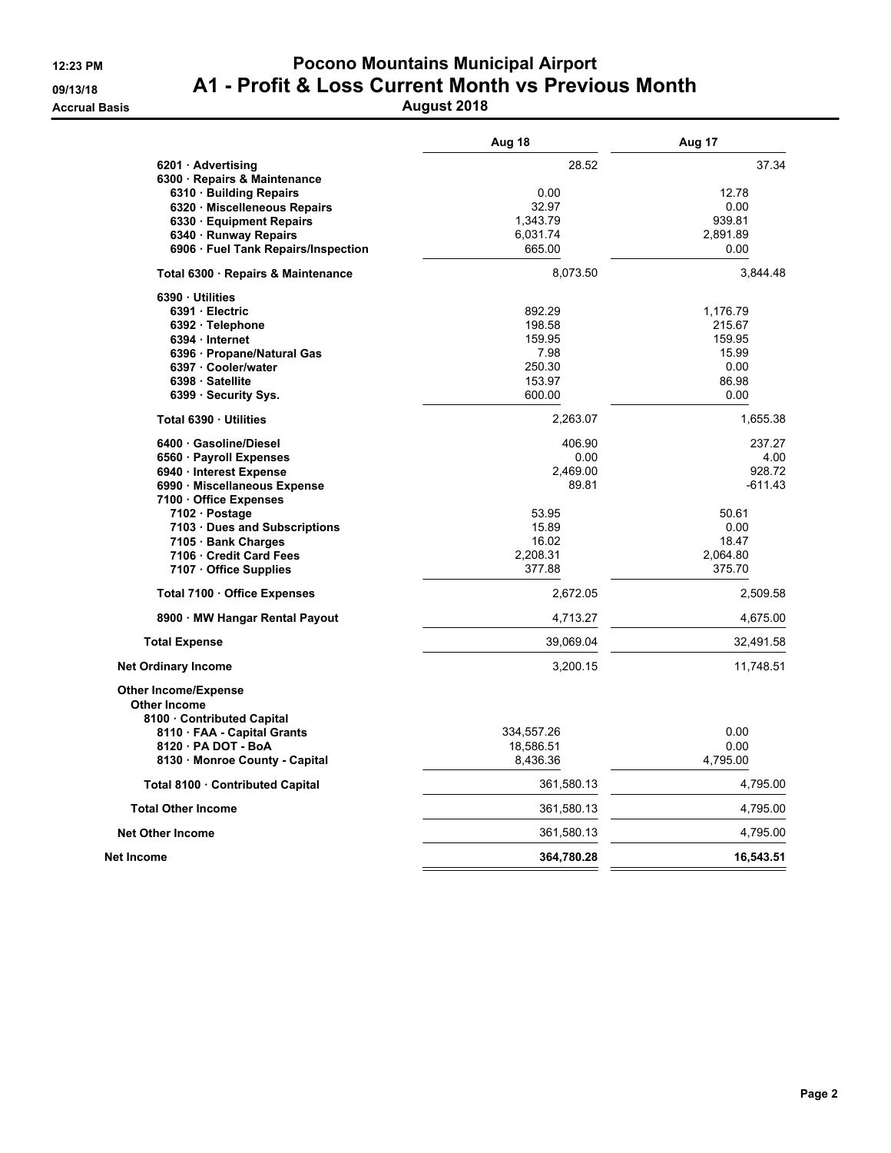### **12:23 PM Pocono Mountains Municipal Airport 09/13/18 A1 - Profit & Loss Current Month vs Previous Month Accrual Basis August 2018**

|                                                                                | Aug 18     | Aug 17    |
|--------------------------------------------------------------------------------|------------|-----------|
| 6201 · Advertising                                                             | 28.52      | 37.34     |
| 6300 Repairs & Maintenance                                                     |            |           |
| 6310 · Building Repairs                                                        | 0.00       | 12.78     |
| 6320 · Miscelleneous Repairs                                                   | 32.97      | 0.00      |
| 6330 Equipment Repairs                                                         | 1,343.79   | 939.81    |
| 6340 · Runway Repairs                                                          | 6,031.74   | 2,891.89  |
| 6906 · Fuel Tank Repairs/Inspection                                            | 665.00     | 0.00      |
| Total 6300 · Repairs & Maintenance                                             | 8,073.50   | 3,844.48  |
| 6390 Utilities                                                                 |            |           |
| 6391 Electric                                                                  | 892.29     | 1,176.79  |
| 6392 · Telephone                                                               | 198.58     | 215.67    |
| 6394 · Internet                                                                | 159.95     | 159.95    |
| 6396 · Propane/Natural Gas                                                     | 7.98       | 15.99     |
| 6397 Cooler/water                                                              | 250.30     | 0.00      |
| 6398 · Satellite                                                               | 153.97     | 86.98     |
| 6399 · Security Sys.                                                           | 600.00     | 0.00      |
| Total 6390 · Utilities                                                         | 2,263.07   | 1,655.38  |
| 6400 Gasoline/Diesel                                                           | 406.90     | 237.27    |
| 6560 · Payroll Expenses                                                        | 0.00       | 4.00      |
| 6940 · Interest Expense                                                        | 2,469.00   | 928.72    |
| 6990 · Miscellaneous Expense                                                   | 89.81      | $-611.43$ |
| 7100 Office Expenses                                                           |            |           |
| 7102 · Postage                                                                 | 53.95      | 50.61     |
| 7103 Dues and Subscriptions                                                    | 15.89      | 0.00      |
| 7105 · Bank Charges                                                            | 16.02      | 18.47     |
| 7106 Credit Card Fees                                                          | 2,208.31   | 2,064.80  |
| 7107 Office Supplies                                                           | 377.88     | 375.70    |
| Total 7100 · Office Expenses                                                   | 2,672.05   | 2,509.58  |
| 8900 · MW Hangar Rental Payout                                                 | 4,713.27   | 4,675.00  |
| <b>Total Expense</b>                                                           | 39,069.04  | 32,491.58 |
| <b>Net Ordinary Income</b>                                                     | 3,200.15   | 11,748.51 |
| <b>Other Income/Expense</b><br><b>Other Income</b><br>8100 Contributed Capital |            |           |
| 8110 FAA - Capital Grants                                                      | 334,557.26 | 0.00      |
| 8120 · PA DOT - BoA                                                            | 18,586.51  | 0.00      |
| 8130 · Monroe County - Capital                                                 | 8,436.36   | 4,795.00  |
|                                                                                |            |           |
| Total 8100 · Contributed Capital                                               | 361,580.13 | 4,795.00  |
| <b>Total Other Income</b>                                                      | 361,580.13 | 4,795.00  |
| <b>Net Other Income</b>                                                        | 361,580.13 | 4,795.00  |
| Net Income                                                                     | 364,780.28 | 16,543.51 |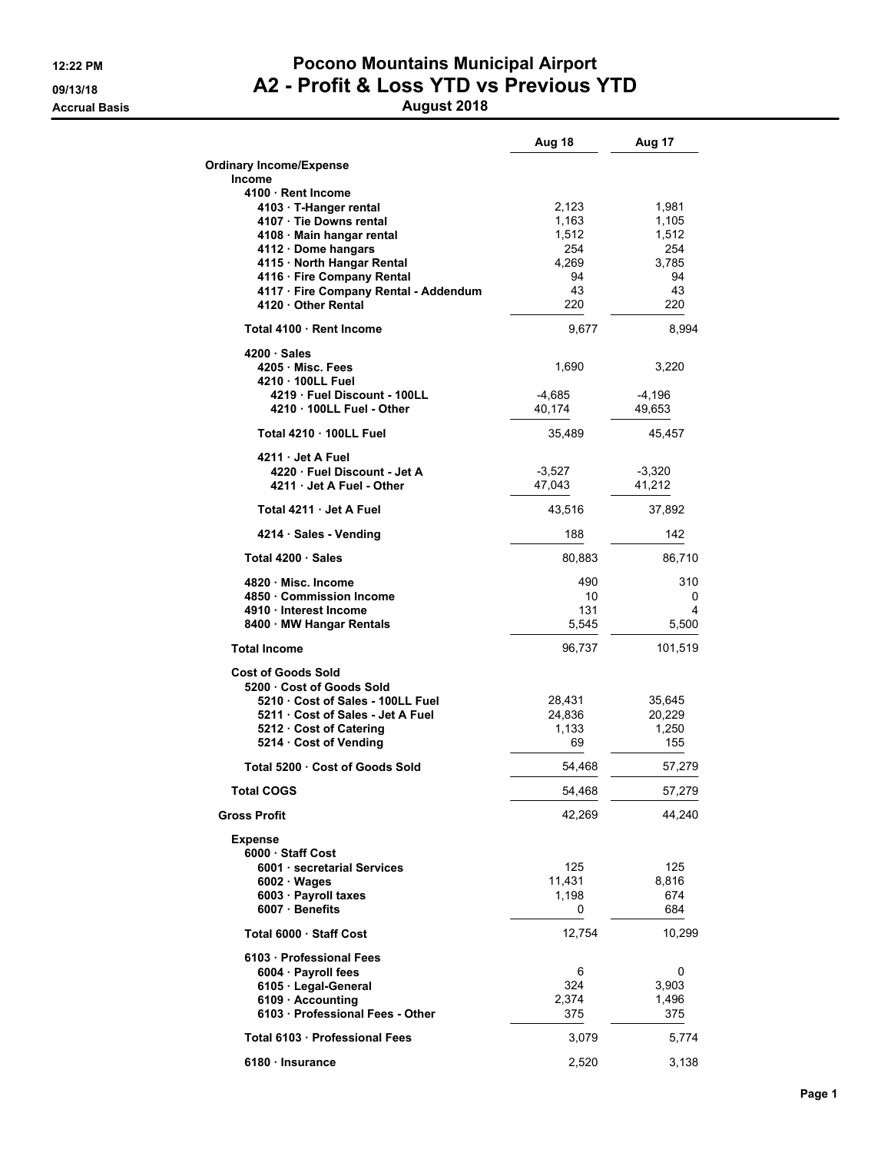### **12:22 PM Pocono Mountains Municipal Airport 09/13/18 A2 - Profit & Loss YTD vs Previous YTD Accrual Basis August 2018**

|                                                              | Aug 18           | Aug 17           |
|--------------------------------------------------------------|------------------|------------------|
| <b>Ordinary Income/Expense</b>                               |                  |                  |
| Income<br>4100 · Rent Income                                 |                  |                  |
| 4103 · T-Hanger rental                                       | 2,123            | 1,981            |
| 4107 Tie Downs rental                                        | 1,163            | 1,105            |
| 4108 · Main hangar rental                                    | 1,512            | 1,512            |
| 4112 · Dome hangars                                          | 254              | 254              |
| 4115 · North Hangar Rental                                   | 4,269            | 3,785            |
| 4116 · Fire Company Rental                                   | 94               | 94               |
| 4117 · Fire Company Rental - Addendum<br>4120 · Other Rental | 43<br>220        | 43<br>220        |
| Total 4100 Rent Income                                       | 9,677            | 8,994            |
| $4200 \cdot Sales$                                           |                  |                  |
| 4205 Misc. Fees                                              | 1,690            | 3,220            |
| 4210 100LL Fuel                                              |                  |                  |
| 4219 Fuel Discount - 100LL                                   | -4,685           | -4,196           |
| 4210 . 100LL Fuel - Other                                    | 40,174           | 49,653           |
| Total 4210 100LL Fuel                                        | 35,489           | 45,457           |
| 4211 Jet A Fuel                                              |                  |                  |
| 4220 Fuel Discount - Jet A                                   | $-3,527$         | $-3,320$         |
| 4211 Jet A Fuel - Other<br>Total 4211 Jet A Fuel             | 47,043<br>43,516 | 41.212<br>37,892 |
| 4214 Sales - Vending                                         | 188              | 142              |
| Total 4200 · Sales                                           |                  |                  |
|                                                              | 80,883           | 86,710           |
| 4820 Misc. Income                                            | 490              | 310              |
| 4850 Commission Income<br>4910 Interest Income               | 10<br>131        | 0<br>4           |
| 8400 · MW Hangar Rentals                                     | 5,545            | 5,500            |
|                                                              |                  |                  |
| <b>Total Income</b>                                          | 96,737           | 101,519          |
| <b>Cost of Goods Sold</b>                                    |                  |                  |
| 5200 Cost of Goods Sold                                      |                  |                  |
| 5210 Cost of Sales - 100LL Fuel                              | 28,431           | 35,645           |
| 5211 Cost of Sales - Jet A Fuel                              | 24,836           | 20,229           |
| 5212 Cost of Catering<br>5214 Cost of Vending                | 1,133<br>69      | 1,250<br>155     |
|                                                              |                  |                  |
| Total 5200 Cost of Goods Sold                                | 54,468           | 57,279           |
| <b>Total COGS</b>                                            | 54,468           | 57,279           |
| <b>Gross Profit</b>                                          | 42,269           | 44,240           |
| <b>Expense</b>                                               |                  |                  |
| 6000 Staff Cost<br>6001 · secretarial Services               | 125              | 125              |
| $6002 \cdot Wages$                                           | 11,431           | 8,816            |
| 6003 · Payroll taxes                                         | 1,198            | 674              |
| $6007 \cdot$ Benefits                                        | 0                | 684              |
| Total 6000 Staff Cost                                        | 12,754           | 10,299           |
| 6103 · Professional Fees                                     |                  |                  |
| 6004 · Payroll fees                                          | 6                | 0                |
| 6105 · Legal-General                                         | 324              | 3,903            |
| 6109 · Accounting                                            | 2,374            | 1,496            |
| 6103 Professional Fees - Other                               | 375              | 375              |
| Total 6103 · Professional Fees                               |                  |                  |
|                                                              | 3,079            | 5,774            |
| 6180 · Insurance                                             | 2,520            | 3,138            |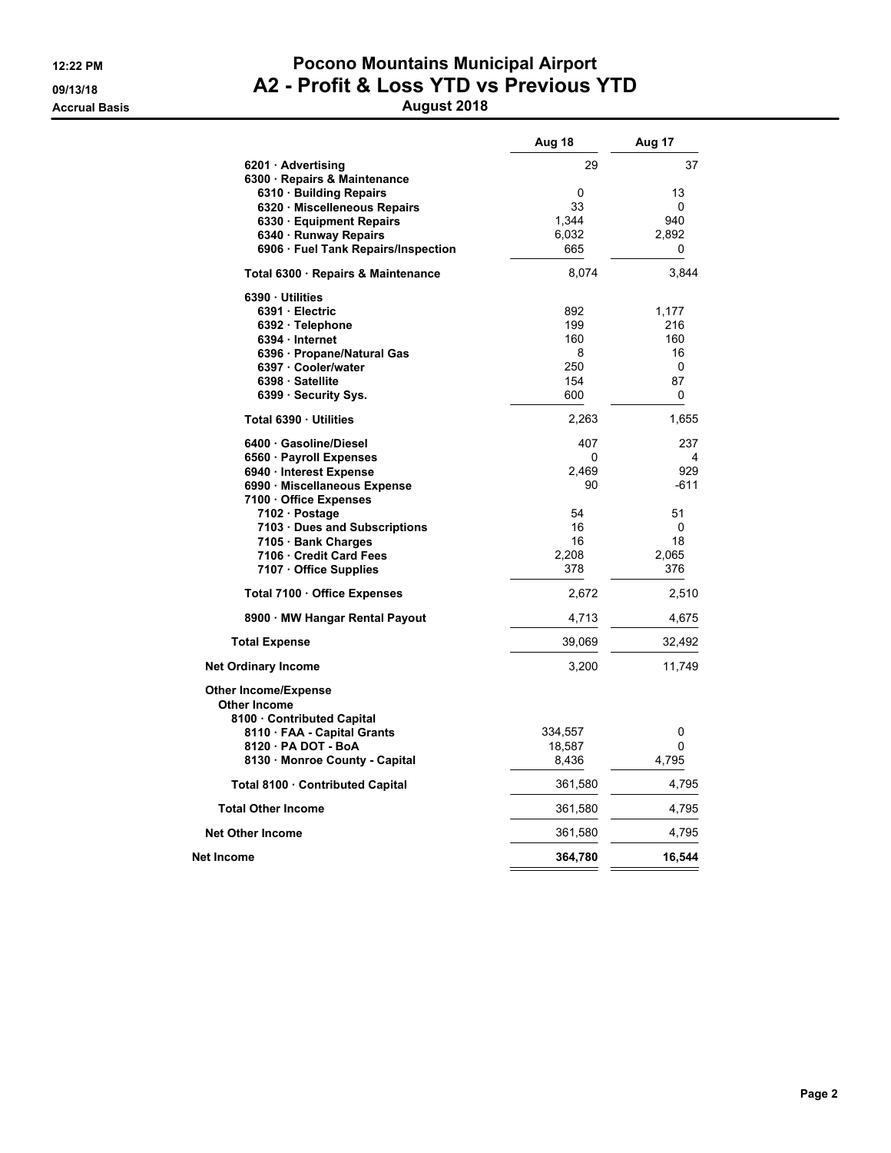### **12:22 PM Pocono Mountains Municipal Airport 09/13/18 A2 - Profit & Loss YTD vs Previous YTD Accrual Basis August 2018**

|                                                                                | Aug 18  | Aug 17 |
|--------------------------------------------------------------------------------|---------|--------|
| 6201 Advertising                                                               | 29      | 37     |
| 6300 · Repairs & Maintenance                                                   |         |        |
| 6310 Building Repairs                                                          | 0       | 13     |
| 6320 · Miscelleneous Repairs                                                   | 33      | 0      |
| 6330 · Equipment Repairs                                                       | 1,344   | 940    |
| 6340 · Runway Repairs                                                          | 6,032   | 2,892  |
| 6906 · Fuel Tank Repairs/Inspection                                            | 665     | 0      |
| Total 6300 · Repairs & Maintenance                                             | 8,074   | 3,844  |
| 6390 Utilities                                                                 |         |        |
| 6391 Electric                                                                  | 892     | 1,177  |
| 6392 · Telephone                                                               | 199     | 216    |
| 6394 · Internet                                                                | 160     | 160    |
| 6396 · Propane/Natural Gas                                                     | 8       | 16     |
| 6397 Cooler/water                                                              | 250     | 0      |
| 6398 Satellite                                                                 | 154     | 87     |
| 6399 · Security Sys.                                                           | 600     | 0      |
| Total 6390 · Utilities                                                         | 2,263   | 1,655  |
| 6400 Gasoline/Diesel                                                           | 407     | 237    |
| 6560 · Payroll Expenses                                                        | 0       | 4      |
| 6940 · Interest Expense                                                        | 2,469   | 929    |
| 6990 Miscellaneous Expense                                                     | 90      | $-611$ |
| 7100 Office Expenses                                                           |         |        |
| 7102 Postage                                                                   | 54      | 51     |
| 7103 Dues and Subscriptions                                                    | 16      | 0      |
| 7105 · Bank Charges                                                            | 16      | 18     |
| 7106 Credit Card Fees                                                          | 2,208   | 2,065  |
| 7107 · Office Supplies                                                         | 378     | 376    |
| Total 7100 · Office Expenses                                                   | 2,672   | 2,510  |
| 8900 MW Hangar Rental Payout                                                   | 4,713   | 4,675  |
| <b>Total Expense</b>                                                           | 39,069  | 32,492 |
| <b>Net Ordinary Income</b>                                                     | 3,200   | 11,749 |
| <b>Other Income/Expense</b><br><b>Other Income</b><br>8100 Contributed Capital |         |        |
| 8110 FAA - Capital Grants                                                      | 334,557 | 0      |
| 8120 · PA DOT - BoA                                                            | 18,587  | 0      |
|                                                                                |         | 4,795  |
| 8130 Monroe County - Capital                                                   | 8,436   |        |
| Total 8100 · Contributed Capital                                               | 361,580 | 4,795  |
| <b>Total Other Income</b>                                                      | 361,580 | 4,795  |
| <b>Net Other Income</b>                                                        | 361,580 | 4,795  |
| Net Income                                                                     | 364,780 | 16,544 |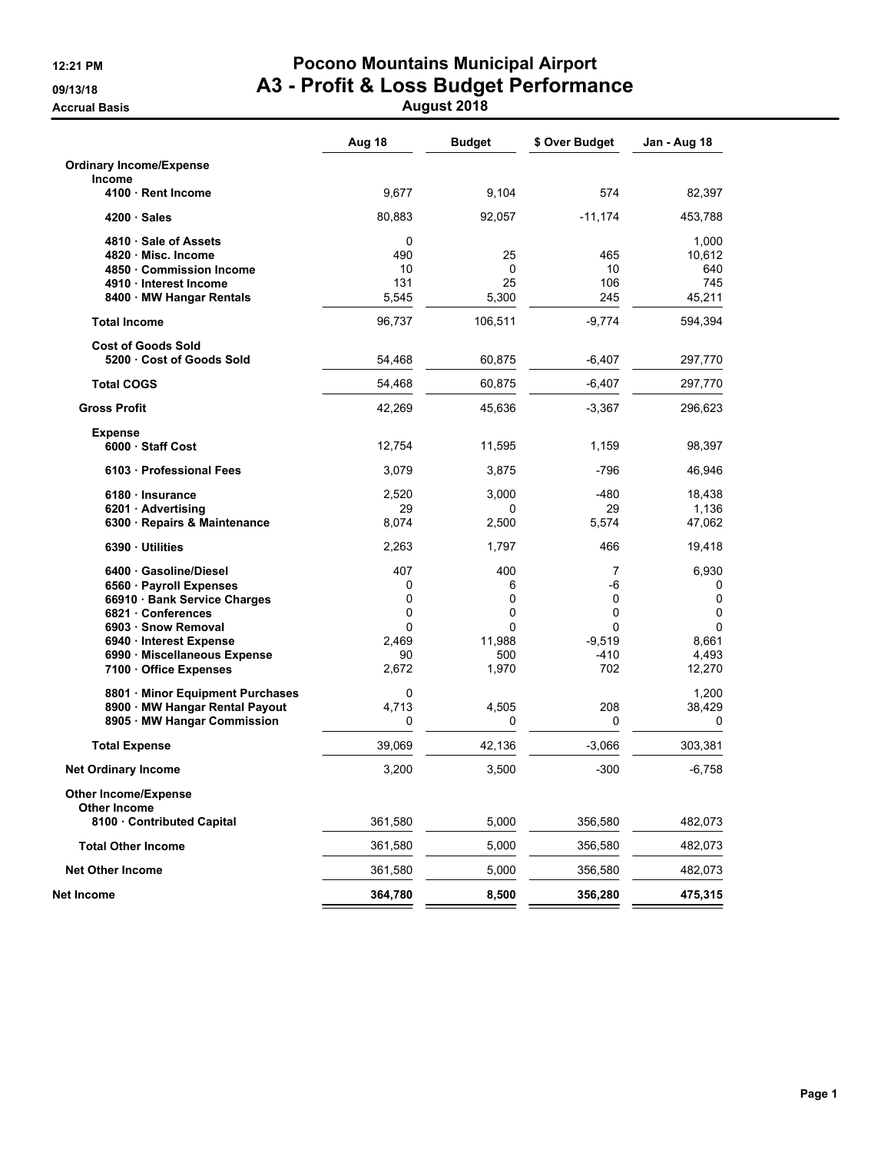### **12:21 PM Pocono Mountains Municipal Airport 09/13/18 A3 - Profit & Loss Budget Performance Accrual Basis August 2018**

|                                                 | Aug 18  | <b>Budget</b> | \$ Over Budget | Jan - Aug 18 |
|-------------------------------------------------|---------|---------------|----------------|--------------|
| <b>Ordinary Income/Expense</b>                  |         |               |                |              |
| Income                                          |         |               |                |              |
| 4100 · Rent Income                              | 9,677   | 9,104         | 574            | 82,397       |
| 4200 Sales                                      | 80,883  | 92,057        | $-11,174$      | 453,788      |
| 4810 Sale of Assets                             | 0       |               |                | 1,000        |
| 4820 Misc. Income                               | 490     | 25            | 465            | 10,612       |
| 4850 Commission Income                          | 10      | 0             | 10             | 640          |
| 4910 Interest Income                            | 131     | 25            | 106            | 745          |
| 8400 MW Hangar Rentals                          | 5,545   | 5,300         | 245            | 45,211       |
| <b>Total Income</b>                             | 96,737  | 106,511       | $-9,774$       | 594,394      |
| <b>Cost of Goods Sold</b>                       |         |               |                |              |
| 5200 Cost of Goods Sold                         | 54,468  | 60,875        | -6,407         | 297,770      |
| <b>Total COGS</b>                               | 54,468  | 60,875        | $-6,407$       | 297,770      |
| <b>Gross Profit</b>                             | 42,269  | 45,636        | $-3,367$       | 296,623      |
| <b>Expense</b>                                  |         |               |                |              |
| 6000 Staff Cost                                 | 12,754  | 11,595        | 1,159          | 98,397       |
| 6103 Professional Fees                          | 3,079   | 3,875         | $-796$         | 46,946       |
| 6180 · Insurance                                | 2,520   | 3,000         | $-480$         | 18,438       |
| 6201 Advertising                                | 29      | 0             | 29             | 1,136        |
| 6300 · Repairs & Maintenance                    | 8,074   | 2,500         | 5,574          | 47,062       |
| 6390 Utilities                                  | 2,263   | 1,797         | 466            | 19,418       |
| 6400 Gasoline/Diesel                            | 407     | 400           | 7              | 6,930        |
| 6560 · Payroll Expenses                         | 0       | 6             | -6             | 0            |
| 66910 · Bank Service Charges                    | 0       | 0             | 0              | 0            |
| 6821 Conferences                                | 0       | 0             | 0              | 0            |
| 6903 · Snow Removal                             | 0       | 0             | 0              | 0            |
| 6940 · Interest Expense                         | 2,469   | 11,988        | $-9,519$       | 8,661        |
| 6990 Miscellaneous Expense                      | 90      | 500           | $-410$         | 4,493        |
| 7100 Office Expenses                            | 2,672   | 1,970         | 702            | 12,270       |
| 8801 · Minor Equipment Purchases                | 0       |               |                | 1,200        |
| 8900 · MW Hangar Rental Payout                  | 4.713   | 4,505         | 208            | 38,429       |
| 8905 · MW Hangar Commission                     | 0       | 0             | 0              | 0            |
| <b>Total Expense</b>                            | 39,069  | 42,136        | $-3,066$       | 303,381      |
| <b>Net Ordinary Income</b>                      | 3,200   | 3,500         | $-300$         | $-6,758$     |
| <b>Other Income/Expense</b>                     |         |               |                |              |
| <b>Other Income</b><br>8100 Contributed Capital | 361,580 | 5,000         | 356,580        | 482,073      |
| <b>Total Other Income</b>                       | 361,580 | 5,000         | 356,580        | 482,073      |
| <b>Net Other Income</b>                         | 361,580 | 5,000         | 356,580        | 482,073      |
|                                                 |         |               |                |              |
| Net Income                                      | 364,780 | 8,500         | 356,280        | 475,315      |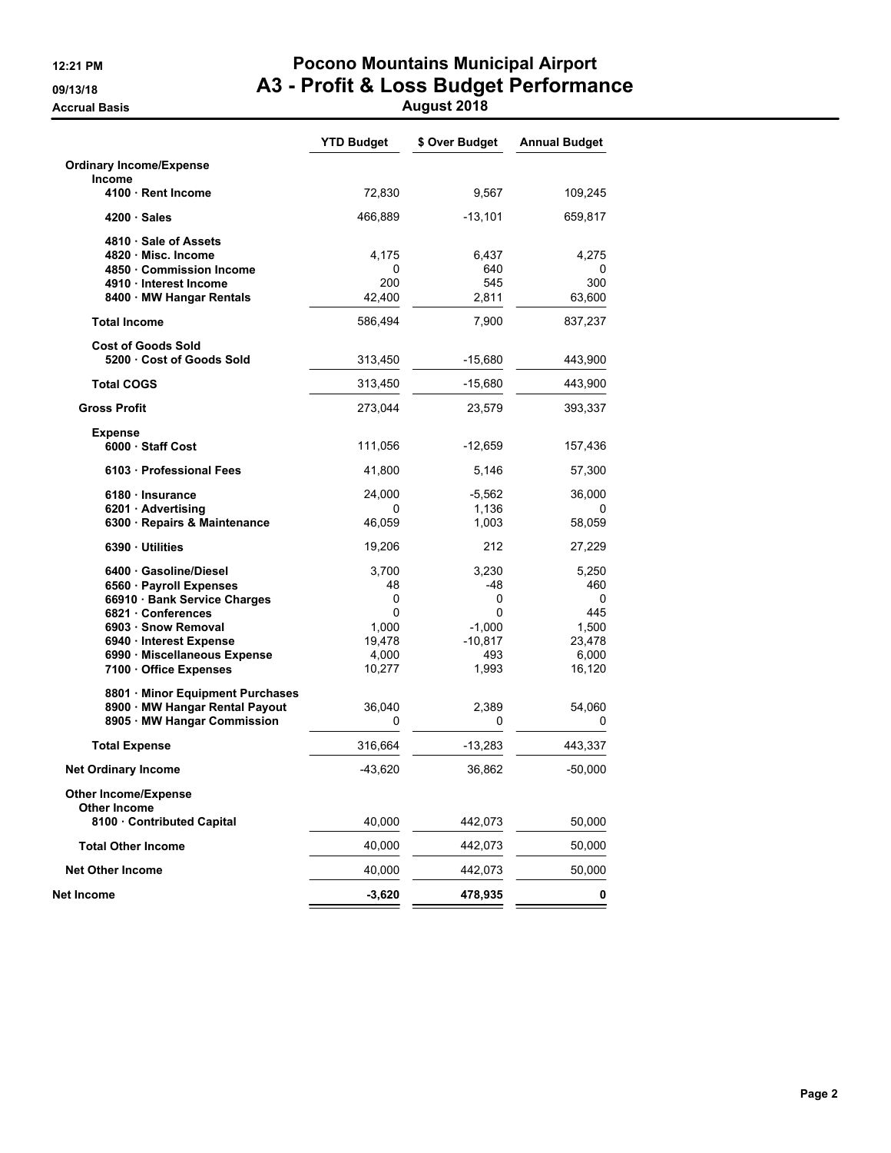### **12:21 PM Pocono Mountains Municipal Airport 09/13/18 A3 - Profit & Loss Budget Performance Accrual Basis August 2018**

| <b>Ordinary Income/Expense</b><br><b>Income</b><br>72,830<br>9,567<br>4100 · Rent Income<br>$4200 \cdot Sales$<br>466,889<br>$-13,101$<br>4810 Sale of Assets<br>4820 Misc. Income<br>4,175<br>6,437<br>4,275<br>4850 Commission Income<br>640<br>0<br>200<br>545<br>300<br>4910 · Interest Income<br>8400 · MW Hangar Rentals<br>42,400<br>2,811<br>63,600<br><b>Total Income</b><br>586,494<br>7,900<br>837,237<br><b>Cost of Goods Sold</b><br>5200 Cost of Goods Sold<br>313,450<br>$-15,680$<br>443,900<br><b>Total COGS</b><br>$-15,680$<br>443,900<br>313,450<br><b>Gross Profit</b><br>273,044<br>23,579<br><b>Expense</b><br>6000 Staff Cost<br>111,056<br>$-12,659$<br>157,436<br>6103 Professional Fees<br>41,800<br>5,146<br>57,300<br>6180 Insurance<br>$-5,562$<br>24,000<br>36,000<br>1,136<br>6201 · Advertising<br>0<br>0<br>6300 · Repairs & Maintenance<br>46,059<br>1,003<br>58,059<br>6390 Utilities<br>19,206<br>212<br>27,229<br>6400 Gasoline/Diesel<br>3,230<br>5,250<br>3,700<br>6560 · Payroll Expenses<br>48<br>-48<br>460<br>66910 · Bank Service Charges<br>0<br>0<br>0<br>6821 Conferences<br>0<br>445<br>0<br>1,000<br>$-1,000$<br>6903 · Snow Removal<br>19,478<br>$-10,817$<br>6940 · Interest Expense<br>6990 · Miscellaneous Expense<br>4,000<br>493<br>10,277<br>1,993<br>7100 Office Expenses<br>16,120<br>8801 · Minor Equipment Purchases<br>8900 · MW Hangar Rental Payout<br>36,040<br>2,389<br>54,060<br>8905 MW Hangar Commission<br>0<br>0<br>0<br><b>Total Expense</b><br>316,664<br>$-13,283$<br>443,337<br>$-43,620$<br>36,862<br>$-50,000$<br><b>Net Ordinary Income</b><br><b>Other Income/Expense</b><br><b>Other Income</b><br>8100 Contributed Capital<br>40,000<br>50,000<br>442,073<br>40,000<br>50,000<br><b>Total Other Income</b><br>442,073<br><b>Net Other Income</b><br>40,000<br>442,073<br>50,000<br>-3,620<br>478,935<br>0 |            | <b>YTD Budget</b> | \$ Over Budget | <b>Annual Budget</b> |
|--------------------------------------------------------------------------------------------------------------------------------------------------------------------------------------------------------------------------------------------------------------------------------------------------------------------------------------------------------------------------------------------------------------------------------------------------------------------------------------------------------------------------------------------------------------------------------------------------------------------------------------------------------------------------------------------------------------------------------------------------------------------------------------------------------------------------------------------------------------------------------------------------------------------------------------------------------------------------------------------------------------------------------------------------------------------------------------------------------------------------------------------------------------------------------------------------------------------------------------------------------------------------------------------------------------------------------------------------------------------------------------------------------------------------------------------------------------------------------------------------------------------------------------------------------------------------------------------------------------------------------------------------------------------------------------------------------------------------------------------------------------------------------------------------------------------------------------------------------------------------------------------|------------|-------------------|----------------|----------------------|
| 109,245<br>659,817<br>0                                                                                                                                                                                                                                                                                                                                                                                                                                                                                                                                                                                                                                                                                                                                                                                                                                                                                                                                                                                                                                                                                                                                                                                                                                                                                                                                                                                                                                                                                                                                                                                                                                                                                                                                                                                                                                                                    |            |                   |                |                      |
|                                                                                                                                                                                                                                                                                                                                                                                                                                                                                                                                                                                                                                                                                                                                                                                                                                                                                                                                                                                                                                                                                                                                                                                                                                                                                                                                                                                                                                                                                                                                                                                                                                                                                                                                                                                                                                                                                            |            |                   |                |                      |
|                                                                                                                                                                                                                                                                                                                                                                                                                                                                                                                                                                                                                                                                                                                                                                                                                                                                                                                                                                                                                                                                                                                                                                                                                                                                                                                                                                                                                                                                                                                                                                                                                                                                                                                                                                                                                                                                                            |            |                   |                |                      |
|                                                                                                                                                                                                                                                                                                                                                                                                                                                                                                                                                                                                                                                                                                                                                                                                                                                                                                                                                                                                                                                                                                                                                                                                                                                                                                                                                                                                                                                                                                                                                                                                                                                                                                                                                                                                                                                                                            |            |                   |                |                      |
|                                                                                                                                                                                                                                                                                                                                                                                                                                                                                                                                                                                                                                                                                                                                                                                                                                                                                                                                                                                                                                                                                                                                                                                                                                                                                                                                                                                                                                                                                                                                                                                                                                                                                                                                                                                                                                                                                            |            |                   |                |                      |
|                                                                                                                                                                                                                                                                                                                                                                                                                                                                                                                                                                                                                                                                                                                                                                                                                                                                                                                                                                                                                                                                                                                                                                                                                                                                                                                                                                                                                                                                                                                                                                                                                                                                                                                                                                                                                                                                                            |            |                   |                |                      |
|                                                                                                                                                                                                                                                                                                                                                                                                                                                                                                                                                                                                                                                                                                                                                                                                                                                                                                                                                                                                                                                                                                                                                                                                                                                                                                                                                                                                                                                                                                                                                                                                                                                                                                                                                                                                                                                                                            |            |                   |                |                      |
|                                                                                                                                                                                                                                                                                                                                                                                                                                                                                                                                                                                                                                                                                                                                                                                                                                                                                                                                                                                                                                                                                                                                                                                                                                                                                                                                                                                                                                                                                                                                                                                                                                                                                                                                                                                                                                                                                            |            |                   |                |                      |
|                                                                                                                                                                                                                                                                                                                                                                                                                                                                                                                                                                                                                                                                                                                                                                                                                                                                                                                                                                                                                                                                                                                                                                                                                                                                                                                                                                                                                                                                                                                                                                                                                                                                                                                                                                                                                                                                                            |            |                   |                |                      |
|                                                                                                                                                                                                                                                                                                                                                                                                                                                                                                                                                                                                                                                                                                                                                                                                                                                                                                                                                                                                                                                                                                                                                                                                                                                                                                                                                                                                                                                                                                                                                                                                                                                                                                                                                                                                                                                                                            |            |                   |                |                      |
| 393,337<br>1,500<br>23,478<br>6,000                                                                                                                                                                                                                                                                                                                                                                                                                                                                                                                                                                                                                                                                                                                                                                                                                                                                                                                                                                                                                                                                                                                                                                                                                                                                                                                                                                                                                                                                                                                                                                                                                                                                                                                                                                                                                                                        |            |                   |                |                      |
|                                                                                                                                                                                                                                                                                                                                                                                                                                                                                                                                                                                                                                                                                                                                                                                                                                                                                                                                                                                                                                                                                                                                                                                                                                                                                                                                                                                                                                                                                                                                                                                                                                                                                                                                                                                                                                                                                            |            |                   |                |                      |
|                                                                                                                                                                                                                                                                                                                                                                                                                                                                                                                                                                                                                                                                                                                                                                                                                                                                                                                                                                                                                                                                                                                                                                                                                                                                                                                                                                                                                                                                                                                                                                                                                                                                                                                                                                                                                                                                                            |            |                   |                |                      |
|                                                                                                                                                                                                                                                                                                                                                                                                                                                                                                                                                                                                                                                                                                                                                                                                                                                                                                                                                                                                                                                                                                                                                                                                                                                                                                                                                                                                                                                                                                                                                                                                                                                                                                                                                                                                                                                                                            |            |                   |                |                      |
|                                                                                                                                                                                                                                                                                                                                                                                                                                                                                                                                                                                                                                                                                                                                                                                                                                                                                                                                                                                                                                                                                                                                                                                                                                                                                                                                                                                                                                                                                                                                                                                                                                                                                                                                                                                                                                                                                            |            |                   |                |                      |
|                                                                                                                                                                                                                                                                                                                                                                                                                                                                                                                                                                                                                                                                                                                                                                                                                                                                                                                                                                                                                                                                                                                                                                                                                                                                                                                                                                                                                                                                                                                                                                                                                                                                                                                                                                                                                                                                                            |            |                   |                |                      |
|                                                                                                                                                                                                                                                                                                                                                                                                                                                                                                                                                                                                                                                                                                                                                                                                                                                                                                                                                                                                                                                                                                                                                                                                                                                                                                                                                                                                                                                                                                                                                                                                                                                                                                                                                                                                                                                                                            |            |                   |                |                      |
|                                                                                                                                                                                                                                                                                                                                                                                                                                                                                                                                                                                                                                                                                                                                                                                                                                                                                                                                                                                                                                                                                                                                                                                                                                                                                                                                                                                                                                                                                                                                                                                                                                                                                                                                                                                                                                                                                            |            |                   |                |                      |
|                                                                                                                                                                                                                                                                                                                                                                                                                                                                                                                                                                                                                                                                                                                                                                                                                                                                                                                                                                                                                                                                                                                                                                                                                                                                                                                                                                                                                                                                                                                                                                                                                                                                                                                                                                                                                                                                                            |            |                   |                |                      |
|                                                                                                                                                                                                                                                                                                                                                                                                                                                                                                                                                                                                                                                                                                                                                                                                                                                                                                                                                                                                                                                                                                                                                                                                                                                                                                                                                                                                                                                                                                                                                                                                                                                                                                                                                                                                                                                                                            |            |                   |                |                      |
|                                                                                                                                                                                                                                                                                                                                                                                                                                                                                                                                                                                                                                                                                                                                                                                                                                                                                                                                                                                                                                                                                                                                                                                                                                                                                                                                                                                                                                                                                                                                                                                                                                                                                                                                                                                                                                                                                            |            |                   |                |                      |
|                                                                                                                                                                                                                                                                                                                                                                                                                                                                                                                                                                                                                                                                                                                                                                                                                                                                                                                                                                                                                                                                                                                                                                                                                                                                                                                                                                                                                                                                                                                                                                                                                                                                                                                                                                                                                                                                                            |            |                   |                |                      |
|                                                                                                                                                                                                                                                                                                                                                                                                                                                                                                                                                                                                                                                                                                                                                                                                                                                                                                                                                                                                                                                                                                                                                                                                                                                                                                                                                                                                                                                                                                                                                                                                                                                                                                                                                                                                                                                                                            |            |                   |                |                      |
|                                                                                                                                                                                                                                                                                                                                                                                                                                                                                                                                                                                                                                                                                                                                                                                                                                                                                                                                                                                                                                                                                                                                                                                                                                                                                                                                                                                                                                                                                                                                                                                                                                                                                                                                                                                                                                                                                            |            |                   |                |                      |
|                                                                                                                                                                                                                                                                                                                                                                                                                                                                                                                                                                                                                                                                                                                                                                                                                                                                                                                                                                                                                                                                                                                                                                                                                                                                                                                                                                                                                                                                                                                                                                                                                                                                                                                                                                                                                                                                                            |            |                   |                |                      |
|                                                                                                                                                                                                                                                                                                                                                                                                                                                                                                                                                                                                                                                                                                                                                                                                                                                                                                                                                                                                                                                                                                                                                                                                                                                                                                                                                                                                                                                                                                                                                                                                                                                                                                                                                                                                                                                                                            |            |                   |                |                      |
|                                                                                                                                                                                                                                                                                                                                                                                                                                                                                                                                                                                                                                                                                                                                                                                                                                                                                                                                                                                                                                                                                                                                                                                                                                                                                                                                                                                                                                                                                                                                                                                                                                                                                                                                                                                                                                                                                            |            |                   |                |                      |
|                                                                                                                                                                                                                                                                                                                                                                                                                                                                                                                                                                                                                                                                                                                                                                                                                                                                                                                                                                                                                                                                                                                                                                                                                                                                                                                                                                                                                                                                                                                                                                                                                                                                                                                                                                                                                                                                                            |            |                   |                |                      |
|                                                                                                                                                                                                                                                                                                                                                                                                                                                                                                                                                                                                                                                                                                                                                                                                                                                                                                                                                                                                                                                                                                                                                                                                                                                                                                                                                                                                                                                                                                                                                                                                                                                                                                                                                                                                                                                                                            |            |                   |                |                      |
|                                                                                                                                                                                                                                                                                                                                                                                                                                                                                                                                                                                                                                                                                                                                                                                                                                                                                                                                                                                                                                                                                                                                                                                                                                                                                                                                                                                                                                                                                                                                                                                                                                                                                                                                                                                                                                                                                            |            |                   |                |                      |
|                                                                                                                                                                                                                                                                                                                                                                                                                                                                                                                                                                                                                                                                                                                                                                                                                                                                                                                                                                                                                                                                                                                                                                                                                                                                                                                                                                                                                                                                                                                                                                                                                                                                                                                                                                                                                                                                                            |            |                   |                |                      |
|                                                                                                                                                                                                                                                                                                                                                                                                                                                                                                                                                                                                                                                                                                                                                                                                                                                                                                                                                                                                                                                                                                                                                                                                                                                                                                                                                                                                                                                                                                                                                                                                                                                                                                                                                                                                                                                                                            |            |                   |                |                      |
|                                                                                                                                                                                                                                                                                                                                                                                                                                                                                                                                                                                                                                                                                                                                                                                                                                                                                                                                                                                                                                                                                                                                                                                                                                                                                                                                                                                                                                                                                                                                                                                                                                                                                                                                                                                                                                                                                            |            |                   |                |                      |
|                                                                                                                                                                                                                                                                                                                                                                                                                                                                                                                                                                                                                                                                                                                                                                                                                                                                                                                                                                                                                                                                                                                                                                                                                                                                                                                                                                                                                                                                                                                                                                                                                                                                                                                                                                                                                                                                                            |            |                   |                |                      |
|                                                                                                                                                                                                                                                                                                                                                                                                                                                                                                                                                                                                                                                                                                                                                                                                                                                                                                                                                                                                                                                                                                                                                                                                                                                                                                                                                                                                                                                                                                                                                                                                                                                                                                                                                                                                                                                                                            |            |                   |                |                      |
|                                                                                                                                                                                                                                                                                                                                                                                                                                                                                                                                                                                                                                                                                                                                                                                                                                                                                                                                                                                                                                                                                                                                                                                                                                                                                                                                                                                                                                                                                                                                                                                                                                                                                                                                                                                                                                                                                            | Net Income |                   |                |                      |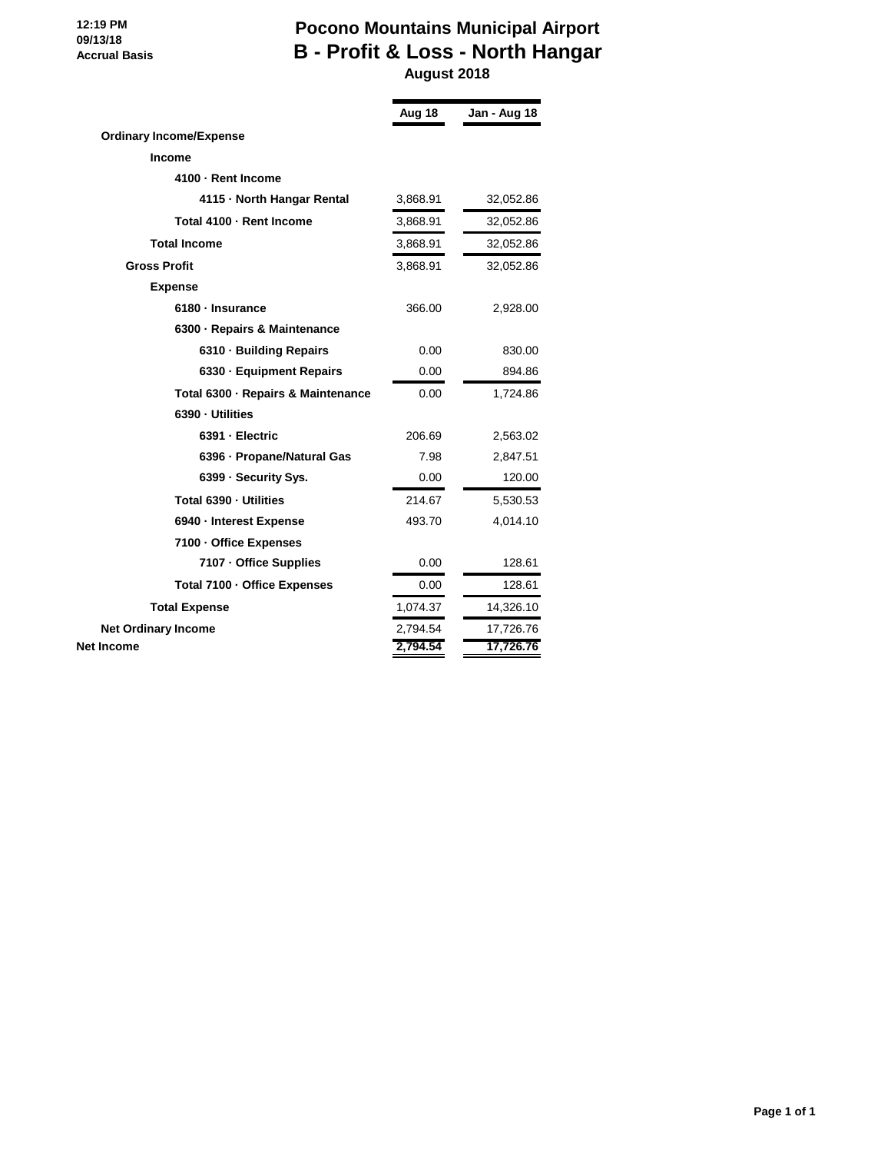#### **12:19 PM 09/13/18 Accrual Basis**

### **Pocono Mountains Municipal Airport B - Profit & Loss - North Hangar August 2018**

|                                    | Aug 18   | Jan - Aug 18 |
|------------------------------------|----------|--------------|
| <b>Ordinary Income/Expense</b>     |          |              |
| <b>Income</b>                      |          |              |
| 4100 - Rent Income                 |          |              |
| 4115 - North Hangar Rental         | 3,868.91 | 32,052.86    |
| Total 4100 - Rent Income           | 3,868.91 | 32,052.86    |
| <b>Total Income</b>                | 3,868.91 | 32,052.86    |
| <b>Gross Profit</b>                | 3,868.91 | 32,052.86    |
| <b>Expense</b>                     |          |              |
| 6180 · Insurance                   | 366.00   | 2,928.00     |
| 6300 - Repairs & Maintenance       |          |              |
| 6310 · Building Repairs            | 0.00     | 830.00       |
| 6330 - Equipment Repairs           | 0.00     | 894.86       |
| Total 6300 · Repairs & Maintenance | 0.00     | 1,724.86     |
| 6390 - Utilities                   |          |              |
| 6391 - Electric                    | 206.69   | 2,563.02     |
| 6396 - Propane/Natural Gas         | 7.98     | 2,847.51     |
| 6399 - Security Sys.               | 0.00     | 120.00       |
| Total 6390 - Utilities             | 214.67   | 5,530.53     |
| 6940 - Interest Expense            | 493.70   | 4,014.10     |
| 7100 - Office Expenses             |          |              |
| 7107 - Office Supplies             | 0.00     | 128.61       |
| Total 7100 - Office Expenses       | 0.00     | 128.61       |
| <b>Total Expense</b>               | 1,074.37 | 14,326.10    |
| <b>Net Ordinary Income</b>         | 2,794.54 | 17,726.76    |
| Net Income                         | 2,794.54 | 17,726.76    |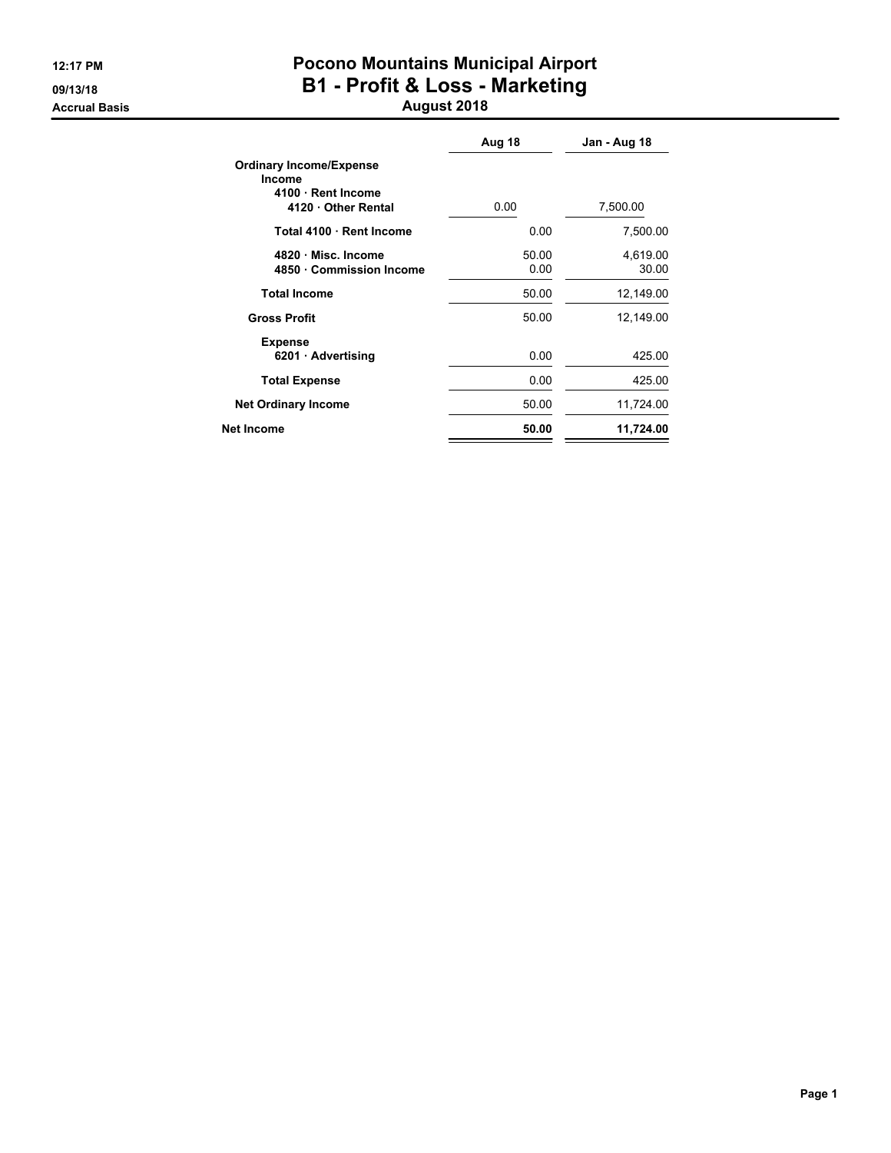# **12:17 PM Pocono Mountains Municipal Airport 09/13/18 B1 - Profit & Loss - Marketing**

### **Accrual Basis August 2018**

|                                                                                            | Aug 18        | Jan - Aug 18      |
|--------------------------------------------------------------------------------------------|---------------|-------------------|
| <b>Ordinary Income/Expense</b><br><b>Income</b><br>4100 · Rent Income<br>4120 Other Rental | 0.00          | 7,500.00          |
| Total 4100 Rent Income                                                                     | 0.00          | 7,500.00          |
| 4820 Misc. Income<br>4850 Commission Income                                                | 50.00<br>0.00 | 4,619.00<br>30.00 |
| <b>Total Income</b>                                                                        | 50.00         | 12,149.00         |
| <b>Gross Profit</b>                                                                        | 50.00         | 12,149.00         |
| <b>Expense</b><br>6201 Advertising                                                         | 0.00          | 425.00            |
| <b>Total Expense</b>                                                                       | 0.00          | 425.00            |
| <b>Net Ordinary Income</b>                                                                 | 50.00         | 11,724.00         |
| Net Income                                                                                 | 50.00         | 11,724.00         |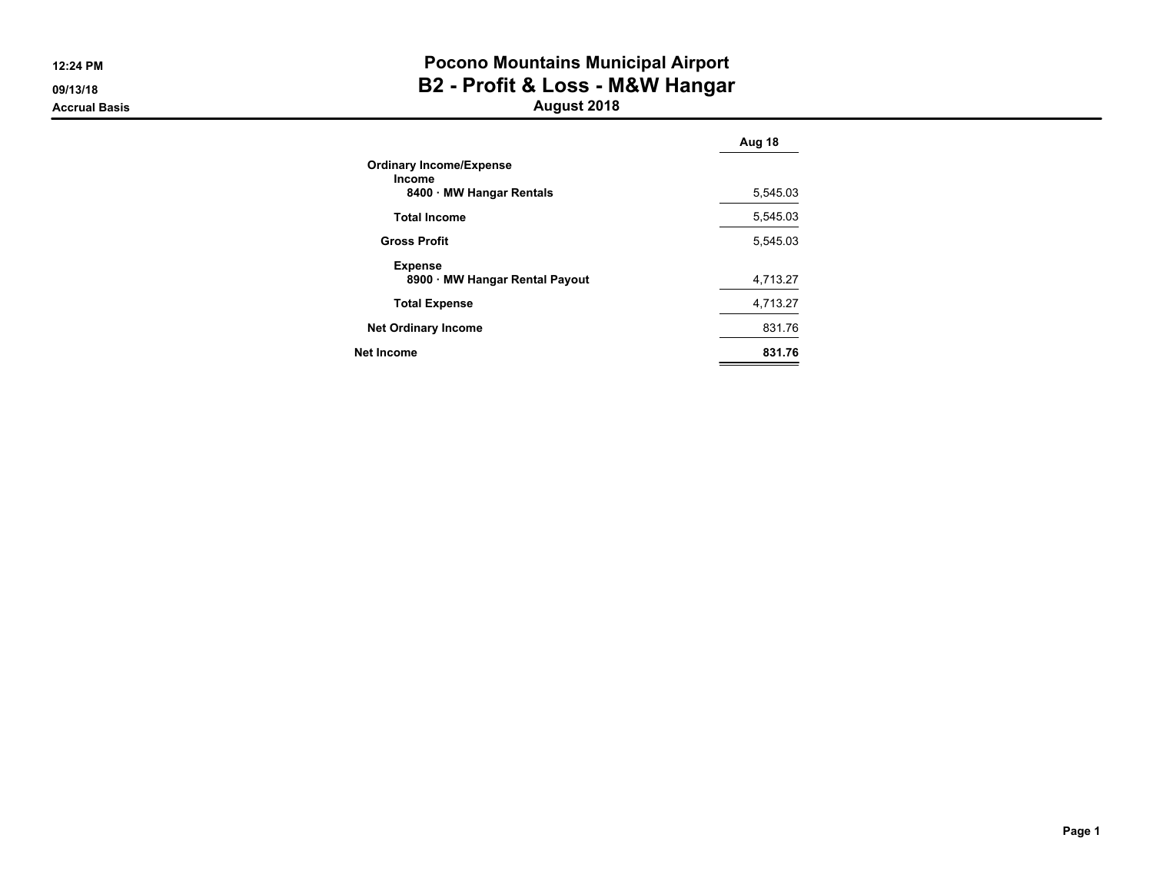**12:24 PM**

**09/13/18Accrual Basis**

### **Pocono Mountains Municipal Airport B2 - Profit & Loss - M&W Hangar August 2018**

**Aug 18Ordinary Income/ExpenseIncome 8400 MW Hangar Rentals** 5,545.03 **Total Income** 5,545.03 **Gross Profit** 5,545.03**Expense 8900 MW Hangar Rental Payout** 4,713.27**Total Expense** 4,713.27 **Net Ordinary Income**e 831.76 **Net Income831.76**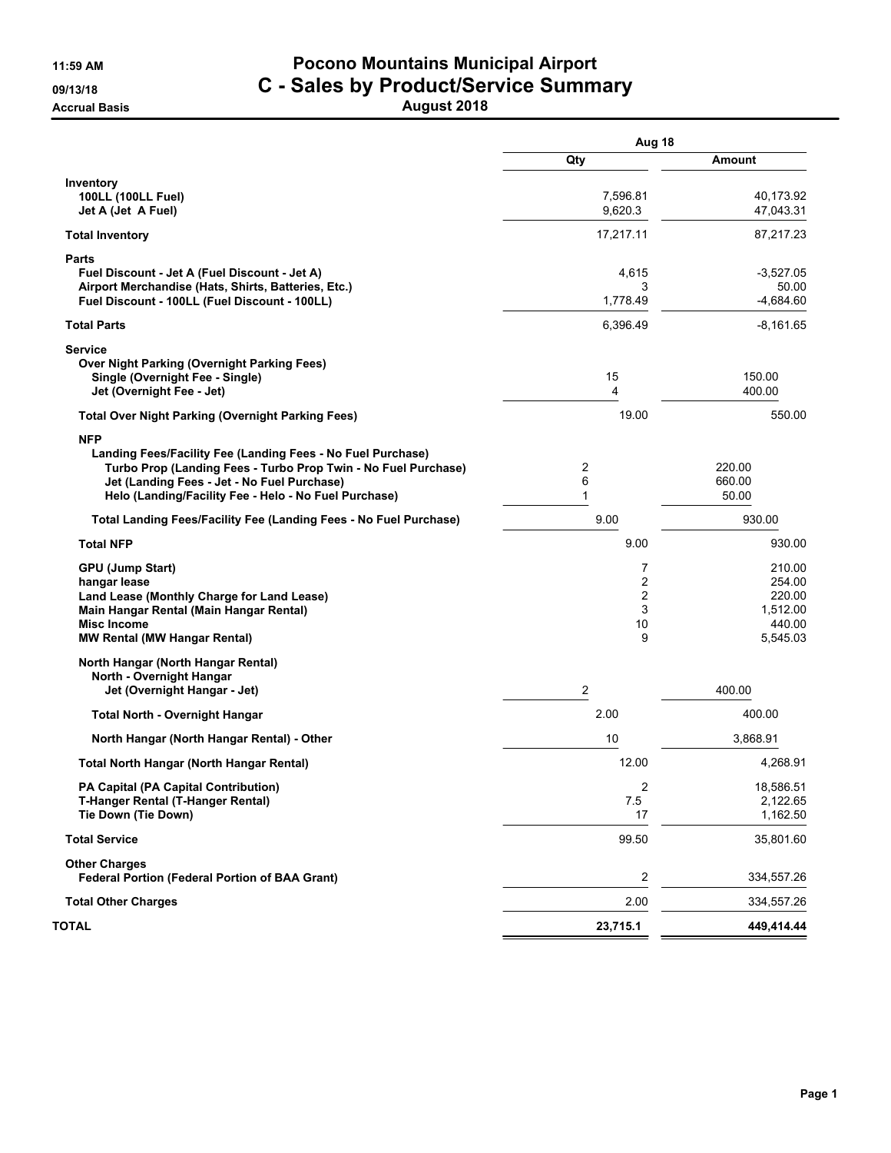# **11:59 AM Pocono Mountains Municipal Airport 09/13/18 C - Sales by Product/Service Summary**

**Accrual Basis August 2018**

|                                                                                                               | Aug 18              |                        |
|---------------------------------------------------------------------------------------------------------------|---------------------|------------------------|
|                                                                                                               | Qty                 | Amount                 |
| Inventory                                                                                                     |                     |                        |
| 100LL (100LL Fuel)<br>Jet A (Jet A Fuel)                                                                      | 7,596.81<br>9.620.3 | 40,173.92<br>47,043.31 |
| <b>Total Inventory</b>                                                                                        | 17,217.11           | 87,217.23              |
| Parts                                                                                                         |                     |                        |
| Fuel Discount - Jet A (Fuel Discount - Jet A)                                                                 | 4,615               | $-3,527.05$            |
| Airport Merchandise (Hats, Shirts, Batteries, Etc.)<br>Fuel Discount - 100LL (Fuel Discount - 100LL)          | 3<br>1,778.49       | 50.00<br>-4,684.60     |
| <b>Total Parts</b>                                                                                            | 6,396.49            | $-8,161.65$            |
| <b>Service</b>                                                                                                |                     |                        |
| <b>Over Night Parking (Overnight Parking Fees)</b>                                                            |                     |                        |
| Single (Overnight Fee - Single)<br>Jet (Overnight Fee - Jet)                                                  | 15<br>4             | 150.00<br>400.00       |
| <b>Total Over Night Parking (Overnight Parking Fees)</b>                                                      | 19.00               | 550.00                 |
| <b>NFP</b>                                                                                                    |                     |                        |
| Landing Fees/Facility Fee (Landing Fees - No Fuel Purchase)                                                   |                     |                        |
| Turbo Prop (Landing Fees - Turbo Prop Twin - No Fuel Purchase)<br>Jet (Landing Fees - Jet - No Fuel Purchase) | 2<br>6              | 220.00<br>660.00       |
| Helo (Landing/Facility Fee - Helo - No Fuel Purchase)                                                         | 1                   | 50.00                  |
| Total Landing Fees/Facility Fee (Landing Fees - No Fuel Purchase)                                             | 9.00                | 930.00                 |
| <b>Total NFP</b>                                                                                              | 9.00                | 930.00                 |
| <b>GPU (Jump Start)</b>                                                                                       | 7                   | 210.00                 |
| hangar lease                                                                                                  | $\overline{c}$      | 254.00                 |
| Land Lease (Monthly Charge for Land Lease)<br>Main Hangar Rental (Main Hangar Rental)                         | 2<br>3              | 220.00<br>1,512.00     |
| <b>Misc Income</b>                                                                                            | 10                  | 440.00                 |
| <b>MW Rental (MW Hangar Rental)</b>                                                                           | 9                   | 5,545.03               |
| North Hangar (North Hangar Rental)                                                                            |                     |                        |
| North - Overnight Hangar<br>Jet (Overnight Hangar - Jet)                                                      | 2                   | 400.00                 |
| <b>Total North - Overnight Hangar</b>                                                                         | 2.00                | 400.00                 |
| North Hangar (North Hangar Rental) - Other                                                                    | 10                  | 3,868.91               |
| Total North Hangar (North Hangar Rental)                                                                      | 12.00               | 4,268.91               |
| PA Capital (PA Capital Contribution)                                                                          | 2                   | 18,586.51              |
| T-Hanger Rental (T-Hanger Rental)                                                                             | 7.5                 | 2,122.65               |
| Tie Down (Tie Down)                                                                                           | 17                  | 1,162.50               |
| <b>Total Service</b>                                                                                          | 99.50               | 35,801.60              |
| <b>Other Charges</b>                                                                                          |                     |                        |
| Federal Portion (Federal Portion of BAA Grant)                                                                | $\overline{2}$      | 334,557.26             |
| <b>Total Other Charges</b>                                                                                    | 2.00                | 334,557.26             |
| TOTAL                                                                                                         | 23,715.1            | 449,414.44             |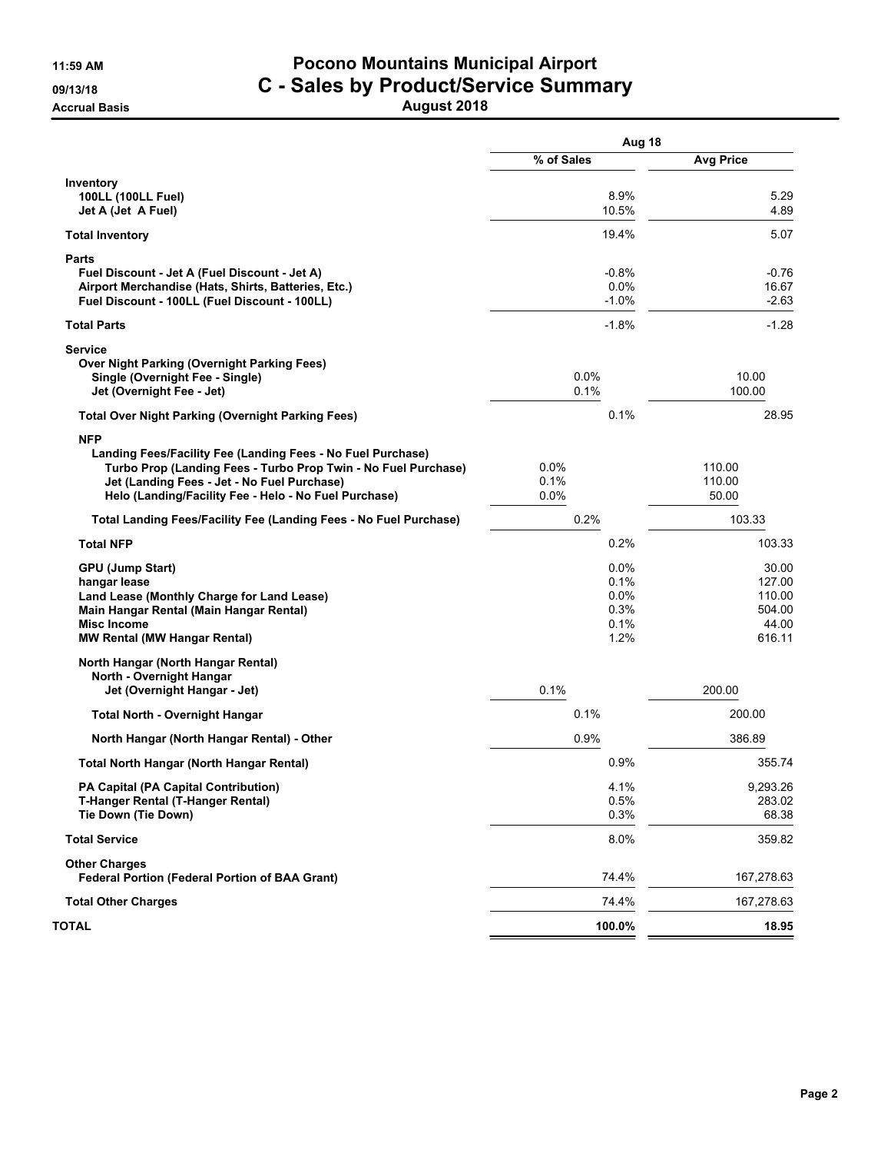### **11:59 AM Pocono Mountains Municipal Airport 09/13/18 C - Sales by Product/Service Summary Accrual Basis August 2018**

|                                                                                                               | Aug 18          |                  |  |
|---------------------------------------------------------------------------------------------------------------|-----------------|------------------|--|
|                                                                                                               | % of Sales      | <b>Avg Price</b> |  |
| Inventory                                                                                                     |                 |                  |  |
| 100LL (100LL Fuel)<br>Jet A (Jet A Fuel)                                                                      | 8.9%<br>10.5%   | 5.29<br>4.89     |  |
| <b>Total Inventory</b>                                                                                        | 19.4%           | 5.07             |  |
| <b>Parts</b>                                                                                                  |                 |                  |  |
| Fuel Discount - Jet A (Fuel Discount - Jet A)                                                                 | $-0.8%$         | $-0.76$          |  |
| Airport Merchandise (Hats, Shirts, Batteries, Etc.)<br>Fuel Discount - 100LL (Fuel Discount - 100LL)          | 0.0%<br>$-1.0%$ | 16.67<br>$-2.63$ |  |
| <b>Total Parts</b>                                                                                            | $-1.8%$         | $-1.28$          |  |
|                                                                                                               |                 |                  |  |
| <b>Service</b><br><b>Over Night Parking (Overnight Parking Fees)</b>                                          |                 |                  |  |
| Single (Overnight Fee - Single)                                                                               | $0.0\%$         | 10.00            |  |
| Jet (Overnight Fee - Jet)                                                                                     | 0.1%            | 100.00           |  |
| <b>Total Over Night Parking (Overnight Parking Fees)</b>                                                      | 0.1%            | 28.95            |  |
| <b>NFP</b>                                                                                                    |                 |                  |  |
| Landing Fees/Facility Fee (Landing Fees - No Fuel Purchase)                                                   |                 |                  |  |
| Turbo Prop (Landing Fees - Turbo Prop Twin - No Fuel Purchase)<br>Jet (Landing Fees - Jet - No Fuel Purchase) | $0.0\%$<br>0.1% | 110.00<br>110.00 |  |
| Helo (Landing/Facility Fee - Helo - No Fuel Purchase)                                                         | 0.0%            | 50.00            |  |
| Total Landing Fees/Facility Fee (Landing Fees - No Fuel Purchase)                                             | 0.2%            | 103.33           |  |
| <b>Total NFP</b>                                                                                              | 0.2%            | 103.33           |  |
| <b>GPU (Jump Start)</b>                                                                                       | 0.0%            | 30.00            |  |
| hangar lease                                                                                                  | 0.1%            | 127.00           |  |
| Land Lease (Monthly Charge for Land Lease)                                                                    | 0.0%            | 110.00           |  |
| Main Hangar Rental (Main Hangar Rental)<br><b>Misc Income</b>                                                 | 0.3%<br>0.1%    | 504.00<br>44.00  |  |
| <b>MW Rental (MW Hangar Rental)</b>                                                                           | 1.2%            | 616.11           |  |
| North Hangar (North Hangar Rental)                                                                            |                 |                  |  |
| North - Overnight Hangar                                                                                      |                 |                  |  |
| Jet (Overnight Hangar - Jet)                                                                                  | 0.1%            | 200.00           |  |
| <b>Total North - Overnight Hangar</b>                                                                         | 0.1%            | 200.00           |  |
| North Hangar (North Hangar Rental) - Other                                                                    | 0.9%            | 386.89           |  |
| Total North Hangar (North Hangar Rental)                                                                      | 0.9%            | 355.74           |  |
| PA Capital (PA Capital Contribution)                                                                          | 4.1%            | 9,293.26         |  |
| T-Hanger Rental (T-Hanger Rental)                                                                             | 0.5%            | 283.02           |  |
| Tie Down (Tie Down)                                                                                           | 0.3%            | 68.38            |  |
| <b>Total Service</b>                                                                                          | 8.0%            | 359.82           |  |
| <b>Other Charges</b><br><b>Federal Portion (Federal Portion of BAA Grant)</b>                                 | 74.4%           | 167,278.63       |  |
| <b>Total Other Charges</b>                                                                                    | 74.4%           | 167,278.63       |  |
| TOTAL                                                                                                         | 100.0%          | 18.95            |  |
|                                                                                                               |                 |                  |  |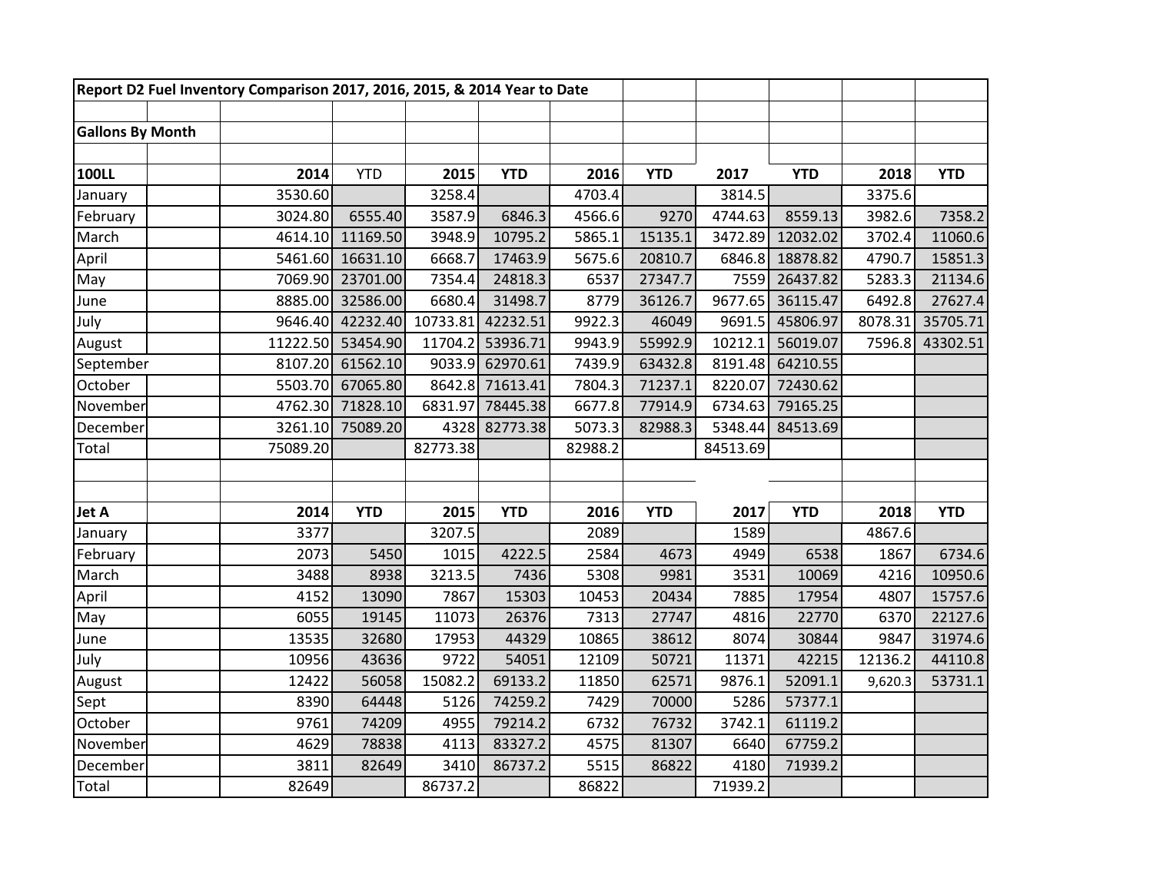| Report D2 Fuel Inventory Comparison 2017, 2016, 2015, & 2014 Year to Date |          |            |          |            |         |            |          |            |         |            |
|---------------------------------------------------------------------------|----------|------------|----------|------------|---------|------------|----------|------------|---------|------------|
|                                                                           |          |            |          |            |         |            |          |            |         |            |
| <b>Gallons By Month</b>                                                   |          |            |          |            |         |            |          |            |         |            |
|                                                                           |          |            |          |            |         |            |          |            |         |            |
| <b>100LL</b>                                                              | 2014     | <b>YTD</b> | 2015     | <b>YTD</b> | 2016    | <b>YTD</b> | 2017     | <b>YTD</b> | 2018    | <b>YTD</b> |
| January                                                                   | 3530.60  |            | 3258.4   |            | 4703.4  |            | 3814.5   |            | 3375.6  |            |
| February                                                                  | 3024.80  | 6555.40    | 3587.9   | 6846.3     | 4566.6  | 9270       | 4744.63  | 8559.13    | 3982.6  | 7358.2     |
| March                                                                     | 4614.10  | 11169.50   | 3948.9   | 10795.2    | 5865.1  | 15135.1    | 3472.89  | 12032.02   | 3702.4  | 11060.6    |
| April                                                                     | 5461.60  | 16631.10   | 6668.7   | 17463.9    | 5675.6  | 20810.7    | 6846.8   | 18878.82   | 4790.7  | 15851.3    |
| May                                                                       | 7069.90  | 23701.00   | 7354.4   | 24818.3    | 6537    | 27347.7    | 7559     | 26437.82   | 5283.3  | 21134.6    |
| June                                                                      | 8885.00  | 32586.00   | 6680.4   | 31498.7    | 8779    | 36126.7    | 9677.65  | 36115.47   | 6492.8  | 27627.4    |
| July                                                                      | 9646.40  | 42232.40   | 10733.81 | 42232.51   | 9922.3  | 46049      | 9691.5   | 45806.97   | 8078.31 | 35705.71   |
| August                                                                    | 11222.50 | 53454.90   | 11704.2  | 53936.71   | 9943.9  | 55992.9    | 10212.1  | 56019.07   | 7596.8  | 43302.51   |
| September                                                                 | 8107.20  | 61562.10   | 9033.9   | 62970.61   | 7439.9  | 63432.8    | 8191.48  | 64210.55   |         |            |
| October                                                                   | 5503.70  | 67065.80   | 8642.8   | 71613.41   | 7804.3  | 71237.1    | 8220.07  | 72430.62   |         |            |
| November                                                                  | 4762.30  | 71828.10   | 6831.97  | 78445.38   | 6677.8  | 77914.9    | 6734.63  | 79165.25   |         |            |
| December                                                                  | 3261.10  | 75089.20   | 4328     | 82773.38   | 5073.3  | 82988.3    | 5348.44  | 84513.69   |         |            |
| Total                                                                     | 75089.20 |            | 82773.38 |            | 82988.2 |            | 84513.69 |            |         |            |
|                                                                           |          |            |          |            |         |            |          |            |         |            |
|                                                                           |          |            |          |            |         |            |          |            |         |            |
| Jet A                                                                     | 2014     | <b>YTD</b> | 2015     | <b>YTD</b> | 2016    | <b>YTD</b> | 2017     | <b>YTD</b> | 2018    | <b>YTD</b> |
| January                                                                   | 3377     |            | 3207.5   |            | 2089    |            | 1589     |            | 4867.6  |            |
| February                                                                  | 2073     | 5450       | 1015     | 4222.5     | 2584    | 4673       | 4949     | 6538       | 1867    | 6734.6     |
| March                                                                     | 3488     | 8938       | 3213.5   | 7436       | 5308    | 9981       | 3531     | 10069      | 4216    | 10950.6    |
| April                                                                     | 4152     | 13090      | 7867     | 15303      | 10453   | 20434      | 7885     | 17954      | 4807    | 15757.6    |
| May                                                                       | 6055     | 19145      | 11073    | 26376      | 7313    | 27747      | 4816     | 22770      | 6370    | 22127.6    |
| June                                                                      | 13535    | 32680      | 17953    | 44329      | 10865   | 38612      | 8074     | 30844      | 9847    | 31974.6    |
| July                                                                      | 10956    | 43636      | 9722     | 54051      | 12109   | 50721      | 11371    | 42215      | 12136.2 | 44110.8    |
| August                                                                    | 12422    | 56058      | 15082.2  | 69133.2    | 11850   | 62571      | 9876.1   | 52091.1    | 9,620.3 | 53731.1    |
| Sept                                                                      | 8390     | 64448      | 5126     | 74259.2    | 7429    | 70000      | 5286     | 57377.1    |         |            |
| October                                                                   | 9761     | 74209      | 4955     | 79214.2    | 6732    | 76732      | 3742.1   | 61119.2    |         |            |
| November                                                                  | 4629     | 78838      | 4113     | 83327.2    | 4575    | 81307      | 6640     | 67759.2    |         |            |
| December                                                                  | 3811     | 82649      | 3410     | 86737.2    | 5515    | 86822      | 4180     | 71939.2    |         |            |
| Total                                                                     | 82649    |            | 86737.2  |            | 86822   |            | 71939.2  |            |         |            |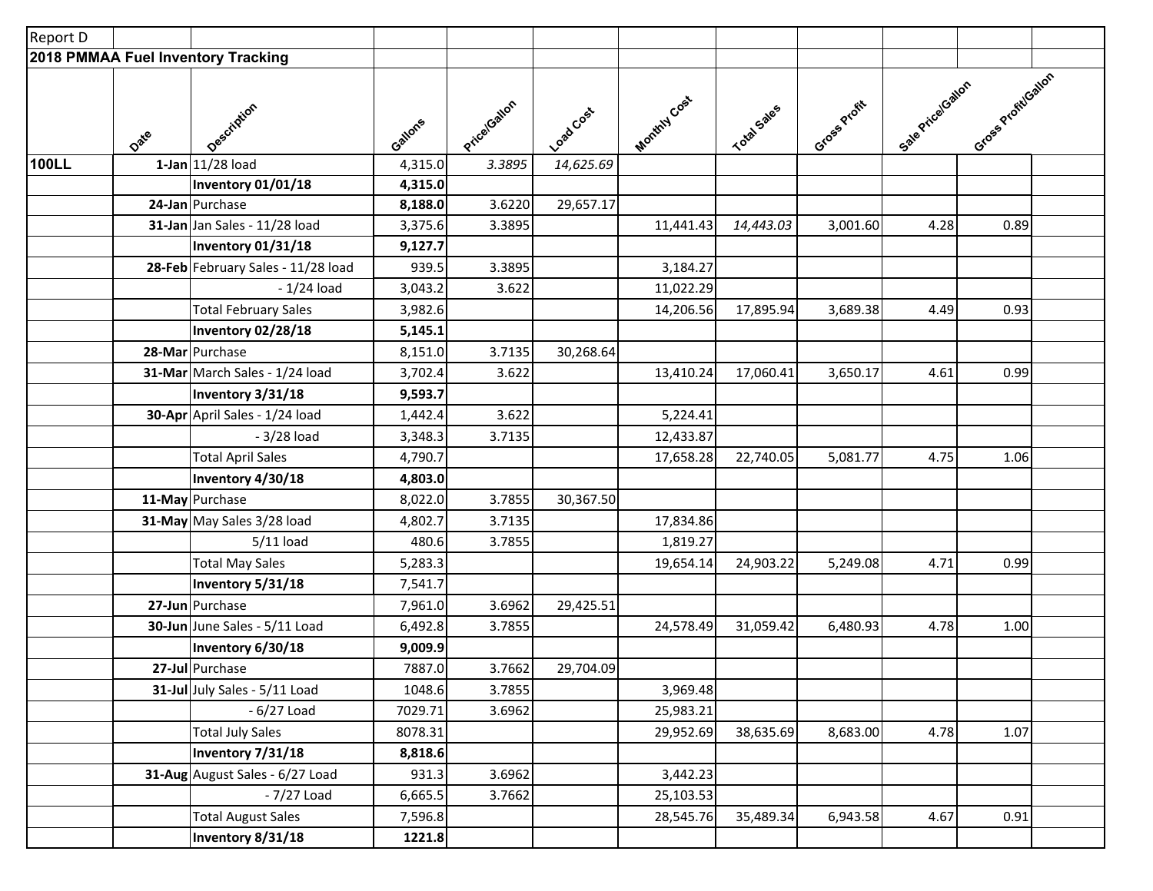| Report D     |      |                                    |         |            |           |             |             |              |                  |                     |  |
|--------------|------|------------------------------------|---------|------------|-----------|-------------|-------------|--------------|------------------|---------------------|--|
|              |      | 2018 PMMAA Fuel Inventory Tracking |         |            |           |             |             |              |                  |                     |  |
|              | Date | Oescription                        | Gallons | PriceGaton | Loadcost  | MonthlyCost | Total Sales | Gross Profit | Sale Price Gaton | Gross Profit/Gallon |  |
| <b>100LL</b> |      | 1-Jan 11/28 load                   | 4,315.0 | 3.3895     | 14,625.69 |             |             |              |                  |                     |  |
|              |      | Inventory 01/01/18                 | 4,315.0 |            |           |             |             |              |                  |                     |  |
|              |      | 24-Jan Purchase                    | 8,188.0 | 3.6220     | 29,657.17 |             |             |              |                  |                     |  |
|              |      | 31-Jan Jan Sales - 11/28 load      | 3,375.6 | 3.3895     |           | 11,441.43   | 14,443.03   | 3,001.60     | 4.28             | 0.89                |  |
|              |      | Inventory 01/31/18                 | 9,127.7 |            |           |             |             |              |                  |                     |  |
|              |      | 28-Feb February Sales - 11/28 load | 939.5   | 3.3895     |           | 3,184.27    |             |              |                  |                     |  |
|              |      | $-1/24$ load                       | 3,043.2 | 3.622      |           | 11,022.29   |             |              |                  |                     |  |
|              |      | <b>Total February Sales</b>        | 3,982.6 |            |           | 14,206.56   | 17,895.94   | 3,689.38     | 4.49             | 0.93                |  |
|              |      | Inventory 02/28/18                 | 5,145.1 |            |           |             |             |              |                  |                     |  |
|              |      | 28-Mar Purchase                    | 8,151.0 | 3.7135     | 30,268.64 |             |             |              |                  |                     |  |
|              |      | 31-Mar March Sales - 1/24 load     | 3,702.4 | 3.622      |           | 13,410.24   | 17,060.41   | 3,650.17     | 4.61             | 0.99                |  |
|              |      | Inventory 3/31/18                  | 9,593.7 |            |           |             |             |              |                  |                     |  |
|              |      | 30-Apr April Sales - 1/24 load     | 1,442.4 | 3.622      |           | 5,224.41    |             |              |                  |                     |  |
|              |      | $-3/28$ load                       | 3,348.3 | 3.7135     |           | 12,433.87   |             |              |                  |                     |  |
|              |      | <b>Total April Sales</b>           | 4,790.7 |            |           | 17,658.28   | 22,740.05   | 5,081.77     | 4.75             | 1.06                |  |
|              |      | Inventory 4/30/18                  | 4,803.0 |            |           |             |             |              |                  |                     |  |
|              |      | 11-May Purchase                    | 8,022.0 | 3.7855     | 30,367.50 |             |             |              |                  |                     |  |
|              |      | 31-May May Sales 3/28 load         | 4,802.7 | 3.7135     |           | 17,834.86   |             |              |                  |                     |  |
|              |      | $5/11$ load                        | 480.6   | 3.7855     |           | 1,819.27    |             |              |                  |                     |  |
|              |      | <b>Total May Sales</b>             | 5,283.3 |            |           | 19,654.14   | 24,903.22   | 5,249.08     | 4.71             | 0.99                |  |
|              |      | Inventory 5/31/18                  | 7,541.7 |            |           |             |             |              |                  |                     |  |
|              |      | 27-Jun Purchase                    | 7,961.0 | 3.6962     | 29,425.51 |             |             |              |                  |                     |  |
|              |      | 30-Jun June Sales - 5/11 Load      | 6,492.8 | 3.7855     |           | 24,578.49   | 31,059.42   | 6,480.93     | 4.78             | 1.00                |  |
|              |      | Inventory 6/30/18                  | 9,009.9 |            |           |             |             |              |                  |                     |  |
|              |      | 27-Jul Purchase                    | 7887.0  | 3.7662     | 29,704.09 |             |             |              |                  |                     |  |
|              |      | 31-Jul July Sales - 5/11 Load      | 1048.6  | 3.7855     |           | 3,969.48    |             |              |                  |                     |  |
|              |      | $-6/27$ Load                       | 7029.71 | 3.6962     |           | 25,983.21   |             |              |                  |                     |  |
|              |      | <b>Total July Sales</b>            | 8078.31 |            |           | 29,952.69   | 38,635.69   | 8,683.00     | 4.78             | 1.07                |  |
|              |      | Inventory 7/31/18                  | 8,818.6 |            |           |             |             |              |                  |                     |  |
|              |      | 31-Aug August Sales - 6/27 Load    | 931.3   | 3.6962     |           | 3,442.23    |             |              |                  |                     |  |
|              |      | $-7/27$ Load                       | 6,665.5 | 3.7662     |           | 25,103.53   |             |              |                  |                     |  |
|              |      | <b>Total August Sales</b>          | 7,596.8 |            |           | 28,545.76   | 35,489.34   | 6,943.58     | 4.67             | 0.91                |  |
|              |      | Inventory 8/31/18                  | 1221.8  |            |           |             |             |              |                  |                     |  |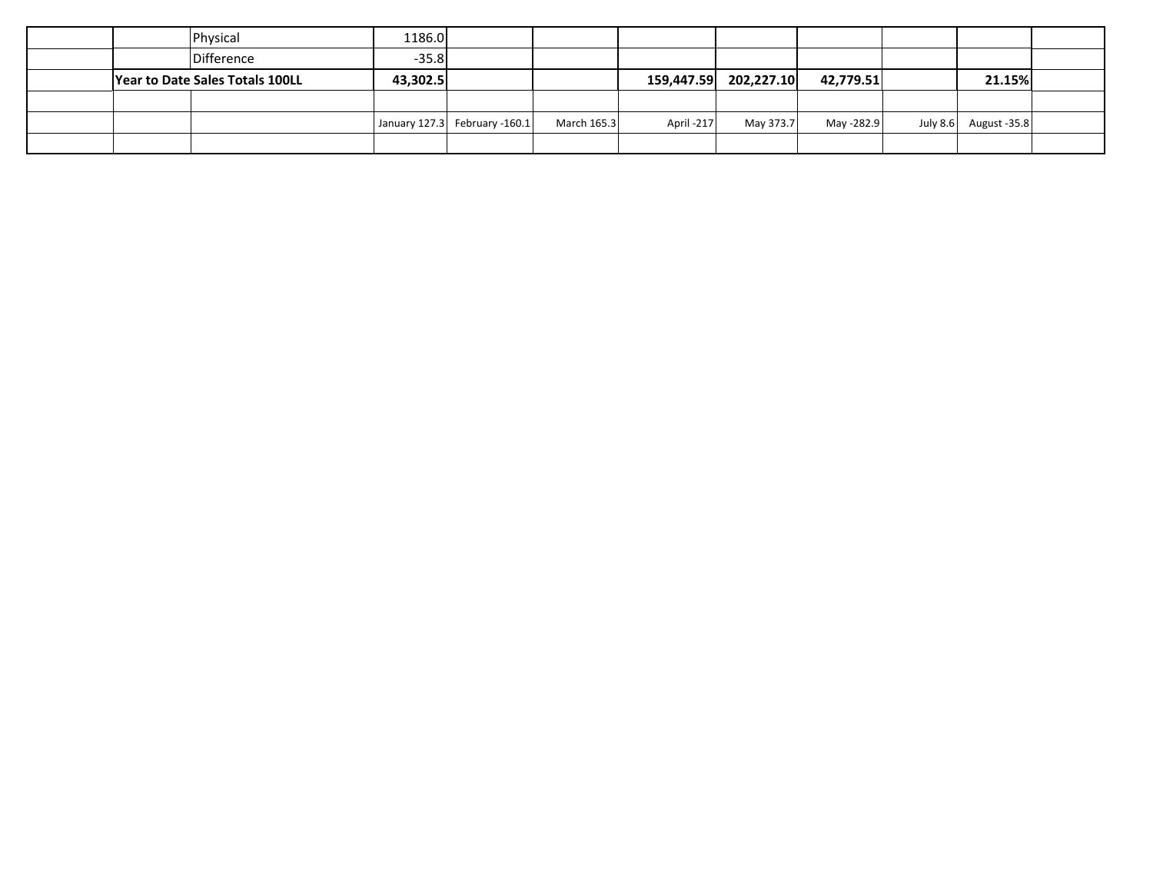|  | Physical                        | 1186.0   |                               |             |            |                       |            |                       |  |
|--|---------------------------------|----------|-------------------------------|-------------|------------|-----------------------|------------|-----------------------|--|
|  | Difference                      | $-35.8$  |                               |             |            |                       |            |                       |  |
|  | Year to Date Sales Totals 100LL | 43,302.5 |                               |             |            | 159,447.59 202,227.10 | 42,779.51  | 21.15%                |  |
|  |                                 |          |                               |             |            |                       |            |                       |  |
|  |                                 |          | January 127.3 February -160.1 | March 165.3 | April -217 | May 373.7             | May -282.9 | July 8.6 August -35.8 |  |
|  |                                 |          |                               |             |            |                       |            |                       |  |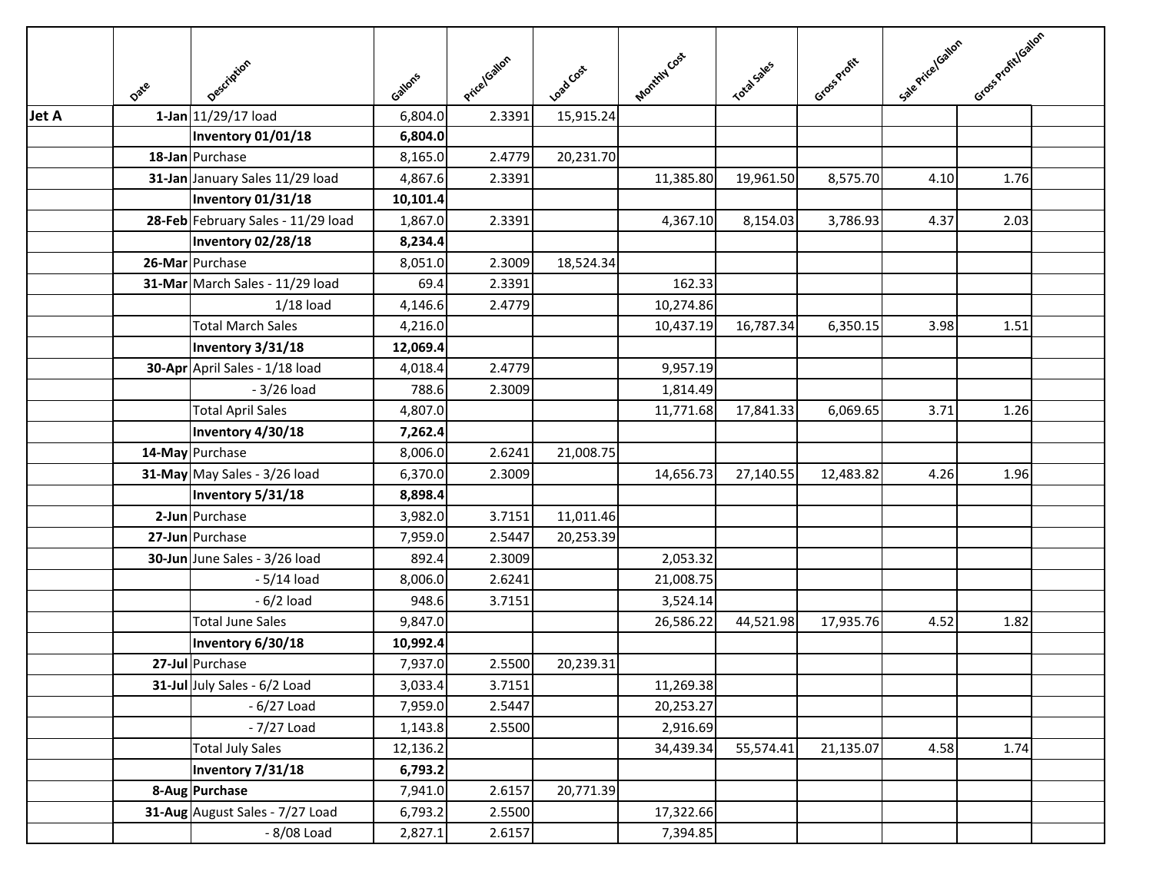|              | Date | Description                        | Gallons  | Price/Gallon | Load Cost | Monthly Cost | <b>Total Sales</b> | Gross Profit | Sale Price Icalian | Gross Profitloaton |  |
|--------------|------|------------------------------------|----------|--------------|-----------|--------------|--------------------|--------------|--------------------|--------------------|--|
| <b>Jet A</b> |      | 1-Jan 11/29/17 load                | 6,804.0  | 2.3391       | 15,915.24 |              |                    |              |                    |                    |  |
|              |      | Inventory 01/01/18                 | 6,804.0  |              |           |              |                    |              |                    |                    |  |
|              |      | 18-Jan Purchase                    | 8,165.0  | 2.4779       | 20,231.70 |              |                    |              |                    |                    |  |
|              |      | 31-Jan January Sales 11/29 load    | 4,867.6  | 2.3391       |           | 11,385.80    | 19,961.50          | 8,575.70     | 4.10               | 1.76               |  |
|              |      | Inventory 01/31/18                 | 10,101.4 |              |           |              |                    |              |                    |                    |  |
|              |      | 28-Feb February Sales - 11/29 load | 1,867.0  | 2.3391       |           | 4,367.10     | 8,154.03           | 3,786.93     | 4.37               | 2.03               |  |
|              |      | Inventory 02/28/18                 | 8,234.4  |              |           |              |                    |              |                    |                    |  |
|              |      | 26-Mar Purchase                    | 8,051.0  | 2.3009       | 18,524.34 |              |                    |              |                    |                    |  |
|              |      | 31-Mar March Sales - 11/29 load    | 69.4     | 2.3391       |           | 162.33       |                    |              |                    |                    |  |
|              |      | $1/18$ load                        | 4,146.6  | 2.4779       |           | 10,274.86    |                    |              |                    |                    |  |
|              |      | <b>Total March Sales</b>           | 4,216.0  |              |           | 10,437.19    | 16,787.34          | 6,350.15     | 3.98               | 1.51               |  |
|              |      | Inventory 3/31/18                  | 12,069.4 |              |           |              |                    |              |                    |                    |  |
|              |      | 30-Apr April Sales - 1/18 load     | 4,018.4  | 2.4779       |           | 9,957.19     |                    |              |                    |                    |  |
|              |      | $-3/26$ load                       | 788.6    | 2.3009       |           | 1,814.49     |                    |              |                    |                    |  |
|              |      | <b>Total April Sales</b>           | 4,807.0  |              |           | 11,771.68    | 17,841.33          | 6,069.65     | 3.71               | 1.26               |  |
|              |      | Inventory 4/30/18                  | 7,262.4  |              |           |              |                    |              |                    |                    |  |
|              |      | 14-May Purchase                    | 8,006.0  | 2.6241       | 21,008.75 |              |                    |              |                    |                    |  |
|              |      | 31-May May Sales - 3/26 load       | 6,370.0  | 2.3009       |           | 14,656.73    | 27,140.55          | 12,483.82    | 4.26               | 1.96               |  |
|              |      | Inventory 5/31/18                  | 8,898.4  |              |           |              |                    |              |                    |                    |  |
|              |      | 2-Jun Purchase                     | 3,982.0  | 3.7151       | 11,011.46 |              |                    |              |                    |                    |  |
|              |      | 27-Jun Purchase                    | 7,959.0  | 2.5447       | 20,253.39 |              |                    |              |                    |                    |  |
|              |      | 30-Jun June Sales - 3/26 load      | 892.4    | 2.3009       |           | 2,053.32     |                    |              |                    |                    |  |
|              |      | - 5/14 load                        | 8,006.0  | 2.6241       |           | 21,008.75    |                    |              |                    |                    |  |
|              |      | $-6/2$ load                        | 948.6    | 3.7151       |           | 3,524.14     |                    |              |                    |                    |  |
|              |      | <b>Total June Sales</b>            | 9,847.0  |              |           | 26,586.22    | 44,521.98          | 17,935.76    | 4.52               | 1.82               |  |
|              |      | Inventory 6/30/18                  | 10,992.4 |              |           |              |                    |              |                    |                    |  |
|              |      | 27-Jul Purchase                    | 7,937.0  | 2.5500       | 20,239.31 |              |                    |              |                    |                    |  |
|              |      | 31-Jul July Sales - 6/2 Load       | 3,033.4  | 3.7151       |           | 11,269.38    |                    |              |                    |                    |  |
|              |      | $-6/27$ Load                       | 7,959.0  | 2.5447       |           | 20,253.27    |                    |              |                    |                    |  |
|              |      | $-7/27$ Load                       | 1,143.8  | 2.5500       |           | 2,916.69     |                    |              |                    |                    |  |
|              |      | <b>Total July Sales</b>            | 12,136.2 |              |           | 34,439.34    | 55,574.41          | 21,135.07    | 4.58               | 1.74               |  |
|              |      | Inventory 7/31/18                  | 6,793.2  |              |           |              |                    |              |                    |                    |  |
|              |      | 8-Aug Purchase                     | 7,941.0  | 2.6157       | 20,771.39 |              |                    |              |                    |                    |  |
|              |      | 31-Aug August Sales - 7/27 Load    | 6,793.2  | 2.5500       |           | 17,322.66    |                    |              |                    |                    |  |
|              |      | - 8/08 Load                        | 2,827.1  | 2.6157       |           | 7,394.85     |                    |              |                    |                    |  |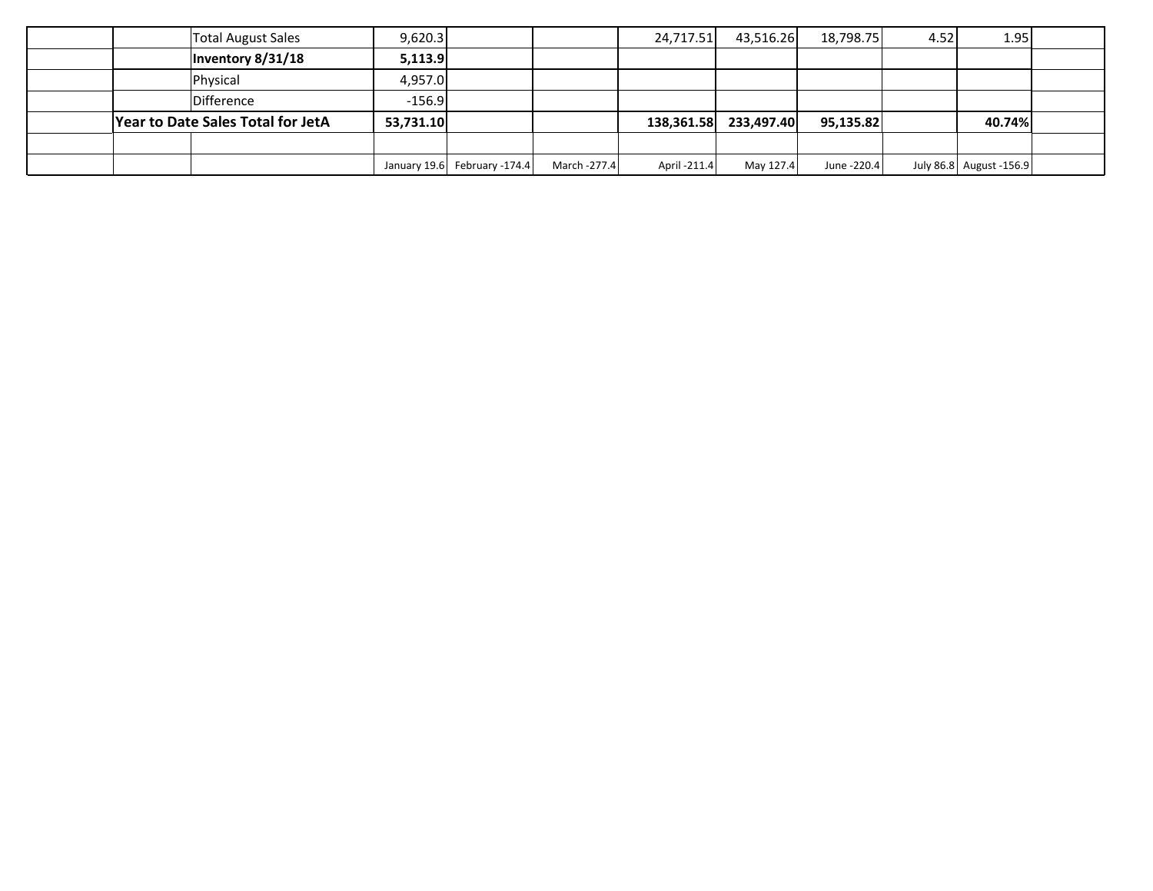|                                   |  | <b>Total August Sales</b> | 9,620.3  |                              |              | 24,717.51    | 43,516.26 | 18,798.75   | 4.52   | 1.95                    |  |
|-----------------------------------|--|---------------------------|----------|------------------------------|--------------|--------------|-----------|-------------|--------|-------------------------|--|
|                                   |  | Inventory 8/31/18         | 5,113.9  |                              |              |              |           |             |        |                         |  |
|                                   |  | Physical                  | 4,957.0  |                              |              |              |           |             |        |                         |  |
|                                   |  | Difference                | $-156.9$ |                              |              |              |           |             |        |                         |  |
| Year to Date Sales Total for JetA |  | 53,731.10                 |          |                              | 138,361.58   | 233,497.40   | 95,135.82 |             | 40.74% |                         |  |
|                                   |  |                           |          |                              |              |              |           |             |        |                         |  |
|                                   |  |                           |          | January 19.6 February -174.4 | March -277.4 | April -211.4 | May 127.4 | June -220.4 |        | July 86.8 August -156.9 |  |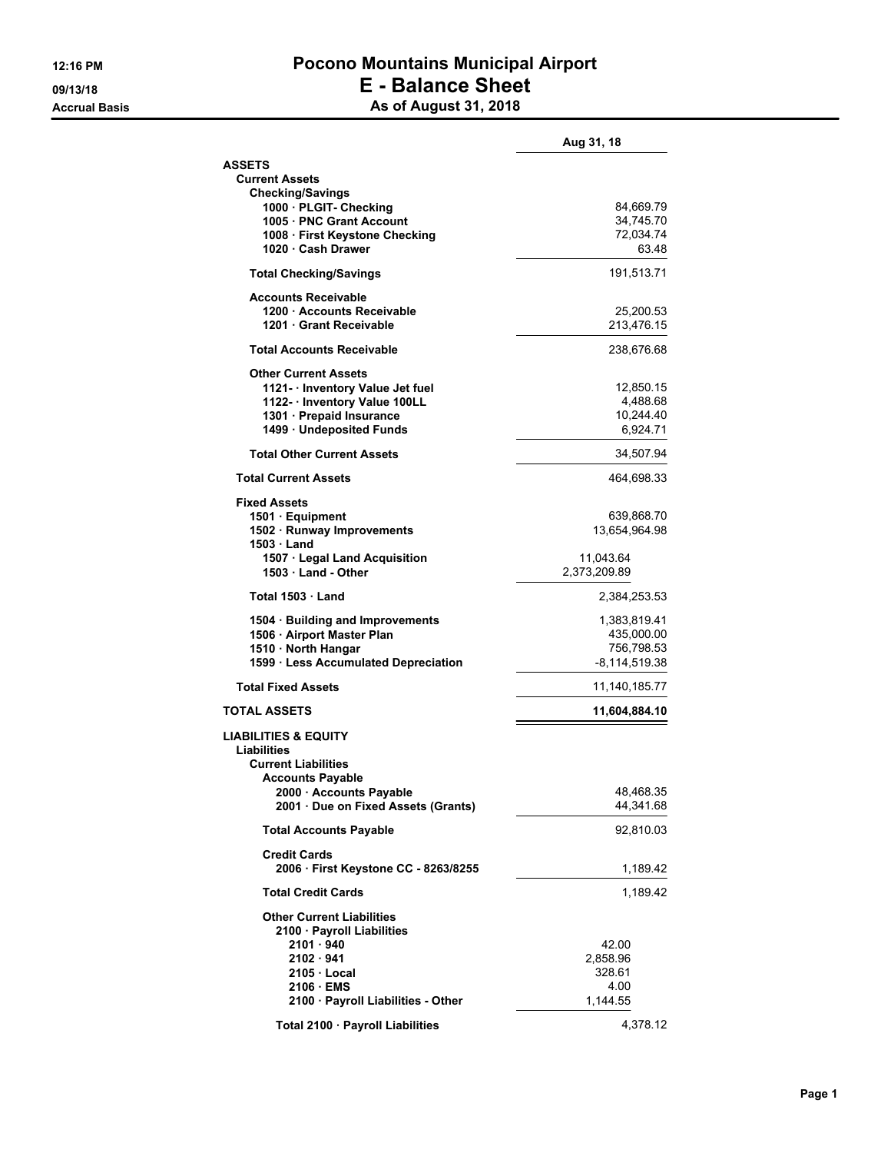### **12:16 PM Pocono Mountains Municipal Airport 09/13/18 E - Balance Sheet Accrual Basis As of August 31, 2018**

|                                                             | Aug 31, 18                |
|-------------------------------------------------------------|---------------------------|
| <b>ASSETS</b>                                               |                           |
| <b>Current Assets</b><br><b>Checking/Savings</b>            |                           |
| 1000 - PLGIT- Checking                                      | 84,669.79                 |
| 1005 PNC Grant Account                                      | 34,745.70                 |
| 1008 · First Keystone Checking                              | 72,034.74                 |
| 1020 · Cash Drawer                                          | 63.48                     |
| <b>Total Checking/Savings</b>                               | 191,513.71                |
| <b>Accounts Receivable</b><br>1200 Accounts Receivable      | 25,200.53                 |
| 1201 Grant Receivable                                       | 213,476.15                |
| <b>Total Accounts Receivable</b>                            | 238,676.68                |
| <b>Other Current Assets</b>                                 |                           |
| 1121 - Inventory Value Jet fuel                             | 12,850.15                 |
| 1122- · Inventory Value 100LL                               | 4,488.68                  |
| 1301 · Prepaid Insurance<br>1499 · Undeposited Funds        | 10,244.40<br>6,924.71     |
| <b>Total Other Current Assets</b>                           |                           |
|                                                             | 34,507.94                 |
| <b>Total Current Assets</b>                                 | 464,698.33                |
| <b>Fixed Assets</b><br>1501 · Equipment                     | 639,868.70                |
| 1502 · Runway Improvements                                  | 13,654,964.98             |
| 1503 <b>Land</b>                                            |                           |
| 1507 · Legal Land Acquisition<br>1503 Land - Other          | 11,043.64<br>2,373,209.89 |
| Total 1503 · Land                                           | 2,384,253.53              |
| 1504 · Building and Improvements                            | 1,383,819.41              |
| 1506 · Airport Master Plan                                  | 435,000.00                |
| 1510 · North Hangar                                         | 756,798.53                |
| 1599 · Less Accumulated Depreciation                        | -8,114,519.38             |
| <b>Total Fixed Assets</b>                                   | 11,140,185.77             |
| <b>TOTAL ASSETS</b>                                         | 11,604,884.10             |
| <b>LIABILITIES &amp; EQUITY</b>                             |                           |
| Liabilities<br><b>Current Liabilities</b>                   |                           |
| <b>Accounts Payable</b>                                     |                           |
| 2000 · Accounts Payable                                     | 48,468.35                 |
| 2001 Due on Fixed Assets (Grants)                           | 44,341.68                 |
| <b>Total Accounts Payable</b>                               | 92,810.03                 |
| <b>Credit Cards</b><br>2006 · First Keystone CC - 8263/8255 | 1,189.42                  |
| <b>Total Credit Cards</b>                                   | 1,189.42                  |
| <b>Other Current Liabilities</b>                            |                           |
| 2100 · Payroll Liabilities                                  |                           |
| 2101 · 940                                                  | 42.00                     |
| 2102 · 941                                                  | 2,858.96                  |
| 2105 Local                                                  | 328.61                    |
| 2106 EMS                                                    | 4.00                      |
| 2100 · Payroll Liabilities - Other                          | 1,144.55                  |
| Total 2100 · Payroll Liabilities                            | 4,378.12                  |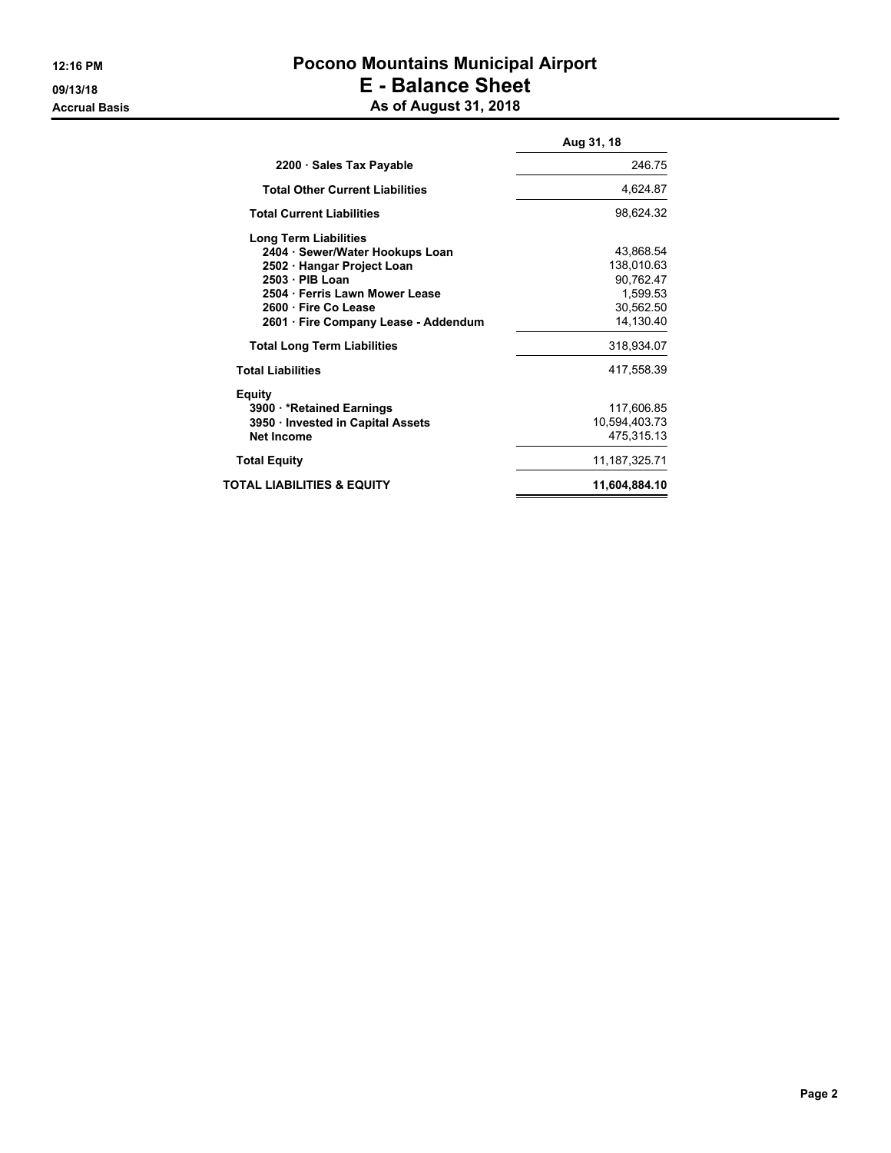### **12:16 PM Pocono Mountains Municipal Airport 09/13/18 E - Balance Sheet Accrual Basis As of August 31, 2018**

|                                        | Aug 31, 18      |
|----------------------------------------|-----------------|
| 2200 · Sales Tax Payable               | 246.75          |
| <b>Total Other Current Liabilities</b> | 4,624.87        |
| <b>Total Current Liabilities</b>       | 98,624.32       |
| Long Term Liabilities                  |                 |
| 2404 · Sewer/Water Hookups Loan        | 43,868.54       |
| 2502 · Hangar Project Loan             | 138,010.63      |
| $2503 \cdot PIB$ Loan                  | 90,762.47       |
| 2504 Ferris Lawn Mower Lease           | 1,599.53        |
| 2600 · Fire Co Lease                   | 30,562.50       |
| 2601 · Fire Company Lease - Addendum   | 14,130.40       |
| <b>Total Long Term Liabilities</b>     | 318,934.07      |
| <b>Total Liabilities</b>               | 417,558.39      |
| Equity                                 |                 |
| 3900 * Retained Earnings               | 117,606.85      |
| 3950 Invested in Capital Assets        | 10,594,403.73   |
| Net Income                             | 475,315.13      |
| <b>Total Equity</b>                    | 11, 187, 325.71 |
| TOTAL LIABILITIES & EQUITY             | 11,604,884.10   |
|                                        |                 |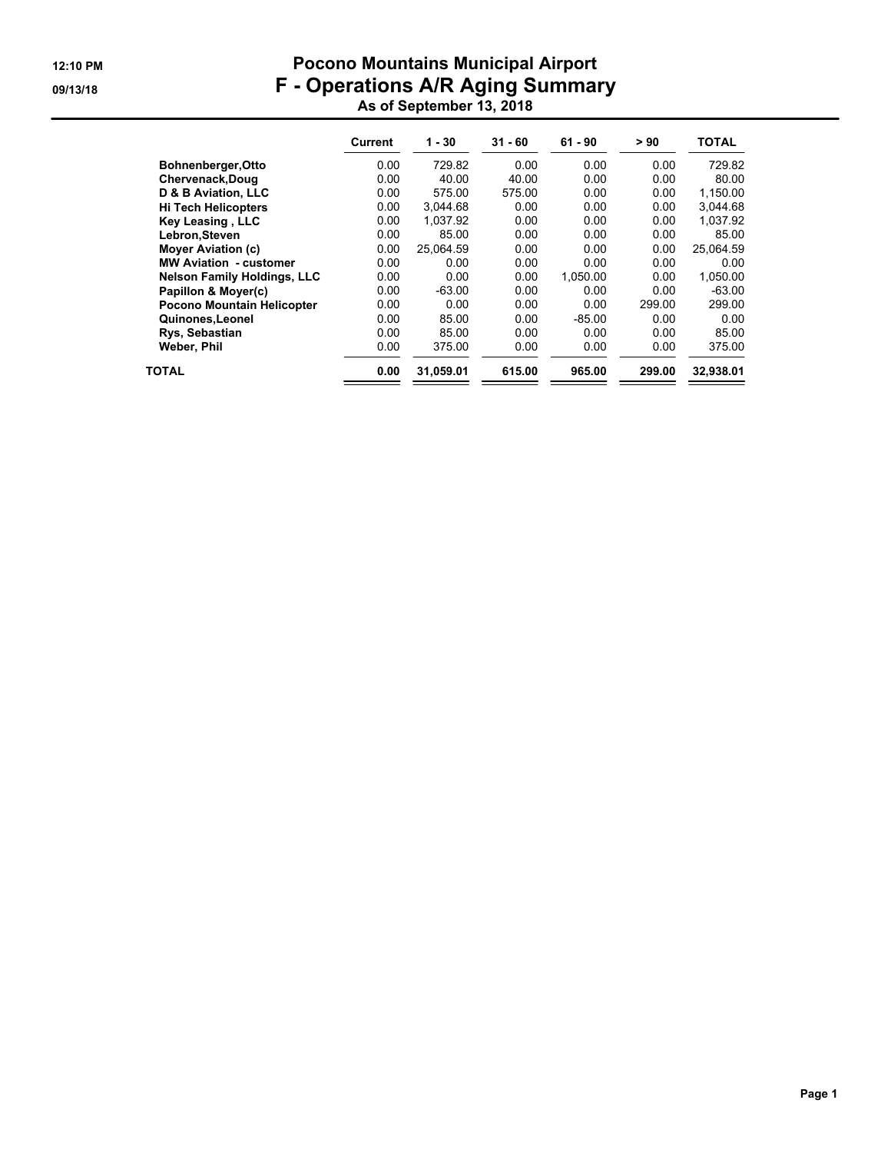### **12:10 PM Pocono Mountains Municipal Airport 09/13/18 F - Operations A/R Aging Summary As of September 13, 2018**

|                                    | Current | $1 - 30$  | $31 - 60$ | $61 - 90$ | > 90   | <b>TOTAL</b> |
|------------------------------------|---------|-----------|-----------|-----------|--------|--------------|
| Bohnenberger, Otto                 | 0.00    | 729.82    | 0.00      | 0.00      | 0.00   | 729.82       |
| Chervenack, Doug                   | 0.00    | 40.00     | 40.00     | 0.00      | 0.00   | 80.00        |
| D & B Aviation, LLC                | 0.00    | 575.00    | 575.00    | 0.00      | 0.00   | 1,150.00     |
| <b>Hi Tech Helicopters</b>         | 0.00    | 3.044.68  | 0.00      | 0.00      | 0.00   | 3.044.68     |
| Key Leasing, LLC                   | 0.00    | 1.037.92  | 0.00      | 0.00      | 0.00   | 1.037.92     |
| Lebron, Steven                     | 0.00    | 85.00     | 0.00      | 0.00      | 0.00   | 85.00        |
| <b>Mover Aviation (c)</b>          | 0.00    | 25.064.59 | 0.00      | 0.00      | 0.00   | 25,064.59    |
| <b>MW Aviation - customer</b>      | 0.00    | 0.00      | 0.00      | 0.00      | 0.00   | 0.00         |
| <b>Nelson Family Holdings, LLC</b> | 0.00    | 0.00      | 0.00      | 1.050.00  | 0.00   | 1.050.00     |
| Papillon & Moyer(c)                | 0.00    | $-63.00$  | 0.00      | 0.00      | 0.00   | $-63.00$     |
| Pocono Mountain Helicopter         | 0.00    | 0.00      | 0.00      | 0.00      | 299.00 | 299.00       |
| Quinones, Leonel                   | 0.00    | 85.00     | 0.00      | $-85.00$  | 0.00   | 0.00         |
| Rys, Sebastian                     | 0.00    | 85.00     | 0.00      | 0.00      | 0.00   | 85.00        |
| Weber, Phil                        | 0.00    | 375.00    | 0.00      | 0.00      | 0.00   | 375.00       |
| TOTAL                              | 0.00    | 31,059.01 | 615.00    | 965.00    | 299.00 | 32,938.01    |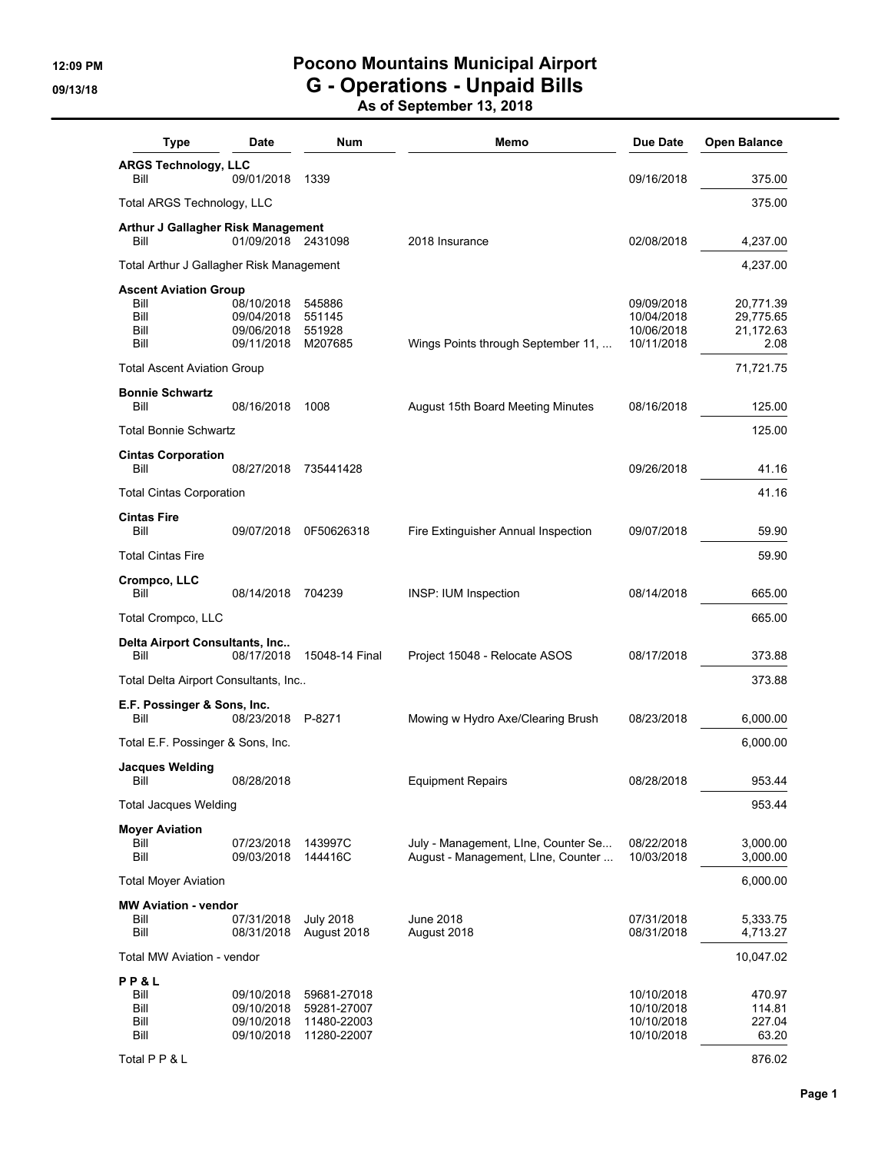# **12:09 PM Pocono Mountains Municipal Airport 09/13/18 G - Operations - Unpaid Bills**

**As of September 13, 2018**

| <b>Type</b>                                                  | <b>Date</b>                                          | Num                                                      | Memo                                | Due Date                                             | <b>Open Balance</b>                         |
|--------------------------------------------------------------|------------------------------------------------------|----------------------------------------------------------|-------------------------------------|------------------------------------------------------|---------------------------------------------|
| <b>ARGS Technology, LLC</b><br>Bill                          | 09/01/2018                                           | 1339                                                     |                                     | 09/16/2018                                           | 375.00                                      |
| <b>Total ARGS Technology, LLC</b>                            |                                                      |                                                          |                                     |                                                      | 375.00                                      |
| Arthur J Gallagher Risk Management<br>Bill                   | 01/09/2018 2431098                                   |                                                          | 2018 Insurance                      | 02/08/2018                                           | 4,237.00                                    |
| Total Arthur J Gallagher Risk Management                     |                                                      |                                                          |                                     |                                                      | 4,237.00                                    |
| <b>Ascent Aviation Group</b><br>Bill<br>Bill<br>Bill<br>Bill | 08/10/2018<br>09/04/2018<br>09/06/2018<br>09/11/2018 | 545886<br>551145<br>551928<br>M207685                    | Wings Points through September 11,  | 09/09/2018<br>10/04/2018<br>10/06/2018<br>10/11/2018 | 20,771.39<br>29,775.65<br>21,172.63<br>2.08 |
| <b>Total Ascent Aviation Group</b>                           |                                                      |                                                          |                                     |                                                      | 71,721.75                                   |
| <b>Bonnie Schwartz</b>                                       |                                                      |                                                          |                                     |                                                      |                                             |
| Bill                                                         | 08/16/2018                                           | 1008                                                     | August 15th Board Meeting Minutes   | 08/16/2018                                           | 125.00                                      |
| <b>Total Bonnie Schwartz</b>                                 |                                                      |                                                          |                                     |                                                      | 125.00                                      |
| <b>Cintas Corporation</b><br>Bill                            | 08/27/2018                                           | 735441428                                                |                                     | 09/26/2018                                           | 41.16                                       |
| <b>Total Cintas Corporation</b>                              |                                                      |                                                          |                                     |                                                      | 41.16                                       |
| <b>Cintas Fire</b><br>Bill                                   | 09/07/2018                                           | 0F50626318                                               | Fire Extinguisher Annual Inspection | 09/07/2018                                           | 59.90                                       |
| <b>Total Cintas Fire</b>                                     |                                                      |                                                          |                                     |                                                      | 59.90                                       |
| Crompco, LLC<br>Bill                                         | 08/14/2018                                           | 704239                                                   | <b>INSP: IUM Inspection</b>         | 08/14/2018                                           | 665.00                                      |
| Total Crompco, LLC                                           |                                                      |                                                          |                                     |                                                      | 665.00                                      |
| Delta Airport Consultants, Inc<br>Bill                       | 08/17/2018                                           | 15048-14 Final                                           | Project 15048 - Relocate ASOS       | 08/17/2018                                           | 373.88                                      |
| Total Delta Airport Consultants, Inc                         |                                                      |                                                          |                                     |                                                      | 373.88                                      |
| E.F. Possinger & Sons, Inc.<br>Bill                          | 08/23/2018 P-8271                                    |                                                          | Mowing w Hydro Axe/Clearing Brush   | 08/23/2018                                           | 6,000.00                                    |
| Total E.F. Possinger & Sons, Inc.                            |                                                      |                                                          |                                     |                                                      | 6,000.00                                    |
| <b>Jacques Welding</b><br>Bill                               | 08/28/2018                                           |                                                          | <b>Equipment Repairs</b>            | 08/28/2018                                           | 953.44                                      |
| <b>Total Jacques Welding</b>                                 |                                                      |                                                          |                                     |                                                      | 953.44                                      |
| <b>Moyer Aviation</b><br>Bill                                | 07/23/2018                                           | 143997C                                                  | July - Management, Line, Counter Se | 08/22/2018                                           | 3,000.00                                    |
| Bill                                                         | 09/03/2018                                           | 144416C                                                  | August - Management, Line, Counter  | 10/03/2018                                           | 3,000.00                                    |
| <b>Total Moyer Aviation</b>                                  |                                                      |                                                          |                                     |                                                      | 6,000.00                                    |
| <b>MW Aviation - vendor</b><br>Bill<br>Bill                  | 07/31/2018<br>08/31/2018                             | <b>July 2018</b><br>August 2018                          | June 2018<br>August 2018            | 07/31/2018<br>08/31/2018                             | 5,333.75<br>4,713.27                        |
| Total MW Aviation - vendor                                   |                                                      |                                                          |                                     |                                                      | 10,047.02                                   |
| PP&L<br>Bill<br>Bill<br>Bill<br>Bill                         | 09/10/2018<br>09/10/2018<br>09/10/2018<br>09/10/2018 | 59681-27018<br>59281-27007<br>11480-22003<br>11280-22007 |                                     | 10/10/2018<br>10/10/2018<br>10/10/2018<br>10/10/2018 | 470.97<br>114.81<br>227.04<br>63.20         |
| Total P P & L                                                |                                                      |                                                          |                                     |                                                      | 876.02                                      |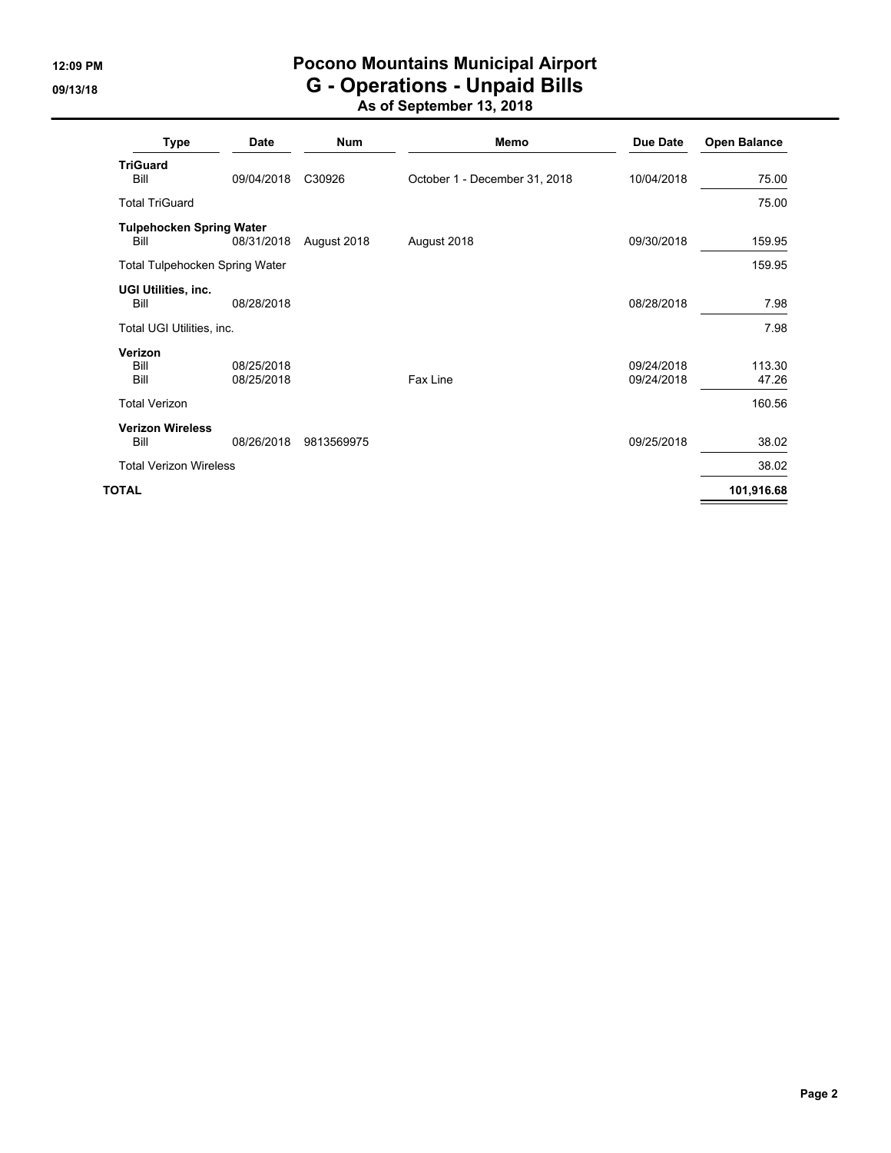# **12:09 PM Pocono Mountains Municipal Airport 09/13/18 G - Operations - Unpaid Bills**

**As of September 13, 2018**

| Type                                    | Date                     | <b>Num</b>  | Memo                          | <b>Due Date</b>          | <b>Open Balance</b> |
|-----------------------------------------|--------------------------|-------------|-------------------------------|--------------------------|---------------------|
| <b>TriGuard</b><br>Bill                 | 09/04/2018               | C30926      | October 1 - December 31, 2018 | 10/04/2018               | 75.00               |
| <b>Total TriGuard</b>                   |                          |             |                               |                          | 75.00               |
| <b>Tulpehocken Spring Water</b><br>Bill | 08/31/2018               | August 2018 | August 2018                   | 09/30/2018               | 159.95              |
| <b>Total Tulpehocken Spring Water</b>   |                          |             |                               |                          | 159.95              |
| UGI Utilities, inc.<br>Bill             | 08/28/2018               |             |                               | 08/28/2018               | 7.98                |
| Total UGI Utilities, inc.               |                          |             |                               |                          | 7.98                |
| Verizon<br>Bill<br>Bill                 | 08/25/2018<br>08/25/2018 |             | Fax Line                      | 09/24/2018<br>09/24/2018 | 113.30<br>47.26     |
| <b>Total Verizon</b>                    |                          |             |                               |                          | 160.56              |
| <b>Verizon Wireless</b><br>Bill         | 08/26/2018               | 9813569975  |                               | 09/25/2018               | 38.02               |
| <b>Total Verizon Wireless</b>           |                          |             |                               |                          | 38.02               |
| <b>TOTAL</b>                            |                          |             |                               |                          | 101,916.68          |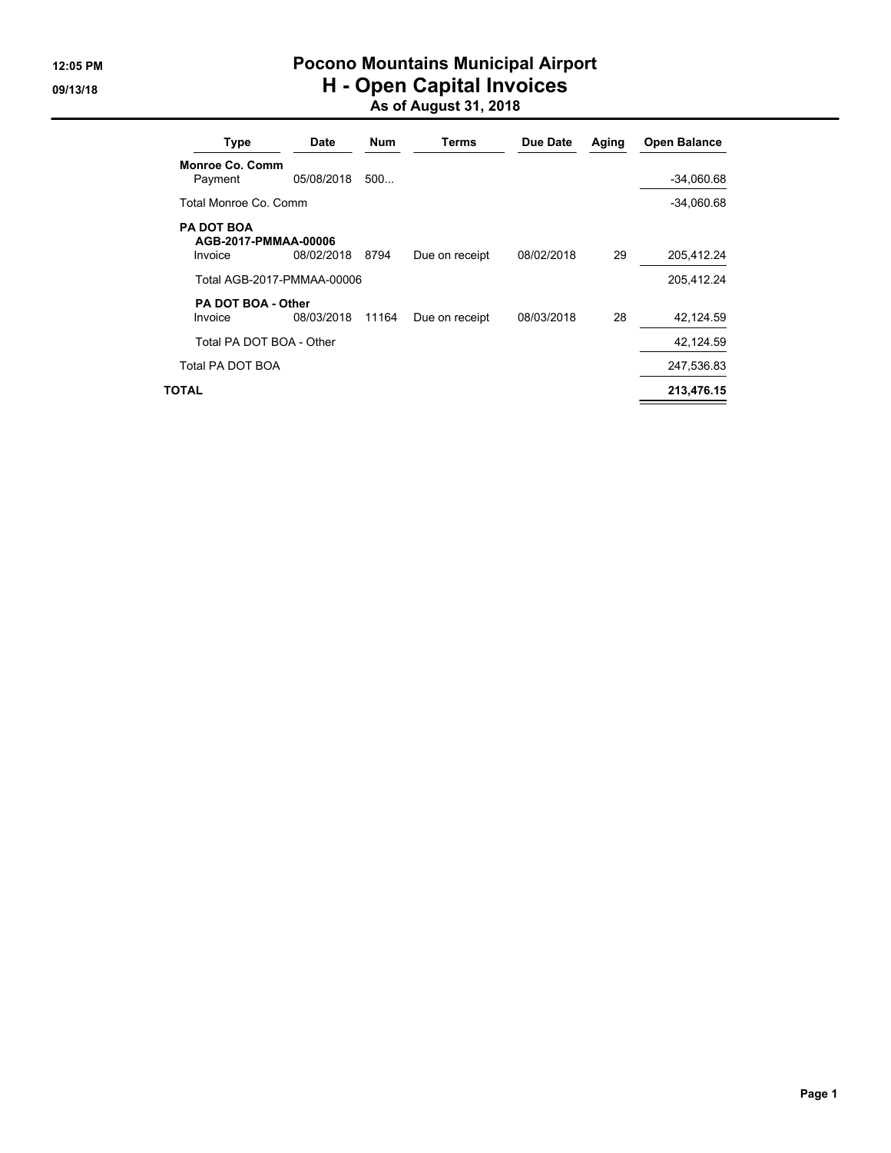### **12:05 PM Pocono Mountains Municipal Airport 09/13/18 H - Open Capital Invoices As of August 31, 2018**

| <b>Type</b>                                          | Date       | <b>Num</b> | Terms          | Due Date   | Aging | Open Balance |
|------------------------------------------------------|------------|------------|----------------|------------|-------|--------------|
| <b>Monroe Co. Comm</b><br>Payment                    | 05/08/2018 | 500        |                |            |       | $-34,060.68$ |
| Total Monroe Co. Comm                                |            |            |                |            |       | $-34,060.68$ |
| <b>PA DOT BOA</b><br>AGB-2017-PMMAA-00006<br>Invoice | 08/02/2018 | 8794       | Due on receipt | 08/02/2018 | 29    | 205,412.24   |
| Total AGB-2017-PMMAA-00006                           |            |            |                |            |       | 205,412.24   |
| <b>PA DOT BOA - Other</b><br>Invoice                 | 08/03/2018 | 11164      | Due on receipt | 08/03/2018 | 28    | 42,124.59    |
| Total PA DOT BOA - Other                             |            |            |                |            |       | 42,124.59    |
| Total PA DOT BOA                                     |            |            |                |            |       | 247,536.83   |
| TOTAL                                                |            |            |                |            |       | 213,476.15   |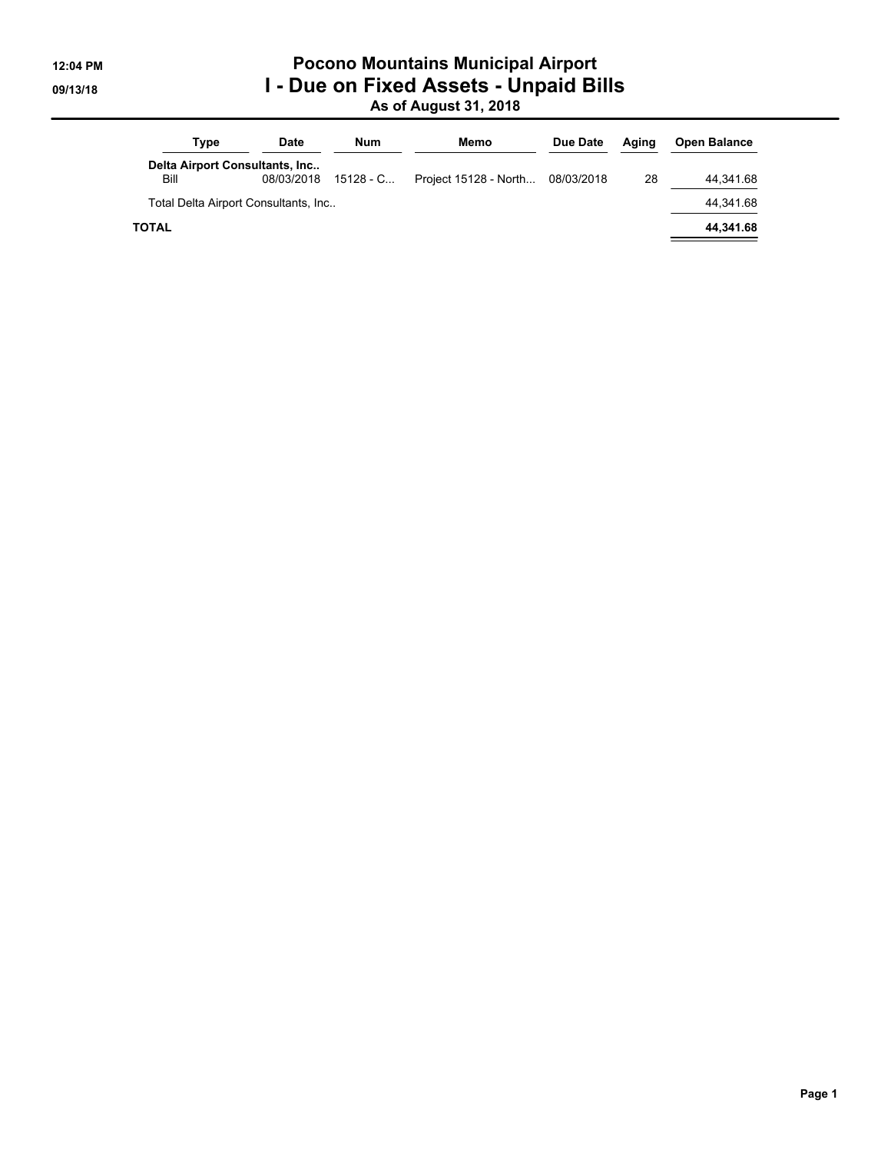### **12:04 PM Pocono Mountains Municipal Airport 09/13/18 I - Due on Fixed Assets - Unpaid Bills As of August 31, 2018**

| Type                                 | <b>Date</b>                                  | Num         | Memo                  | Due Date   | Aaina | <b>Open Balance</b> |
|--------------------------------------|----------------------------------------------|-------------|-----------------------|------------|-------|---------------------|
| Bill                                 | Delta Airport Consultants, Inc<br>08/03/2018 | $15128 - C$ | Project 15128 - North | 08/03/2018 | 28    | 44.341.68           |
| Total Delta Airport Consultants, Inc |                                              |             |                       |            |       |                     |
| <b>TOTAL</b>                         |                                              |             |                       |            |       | 44,341.68           |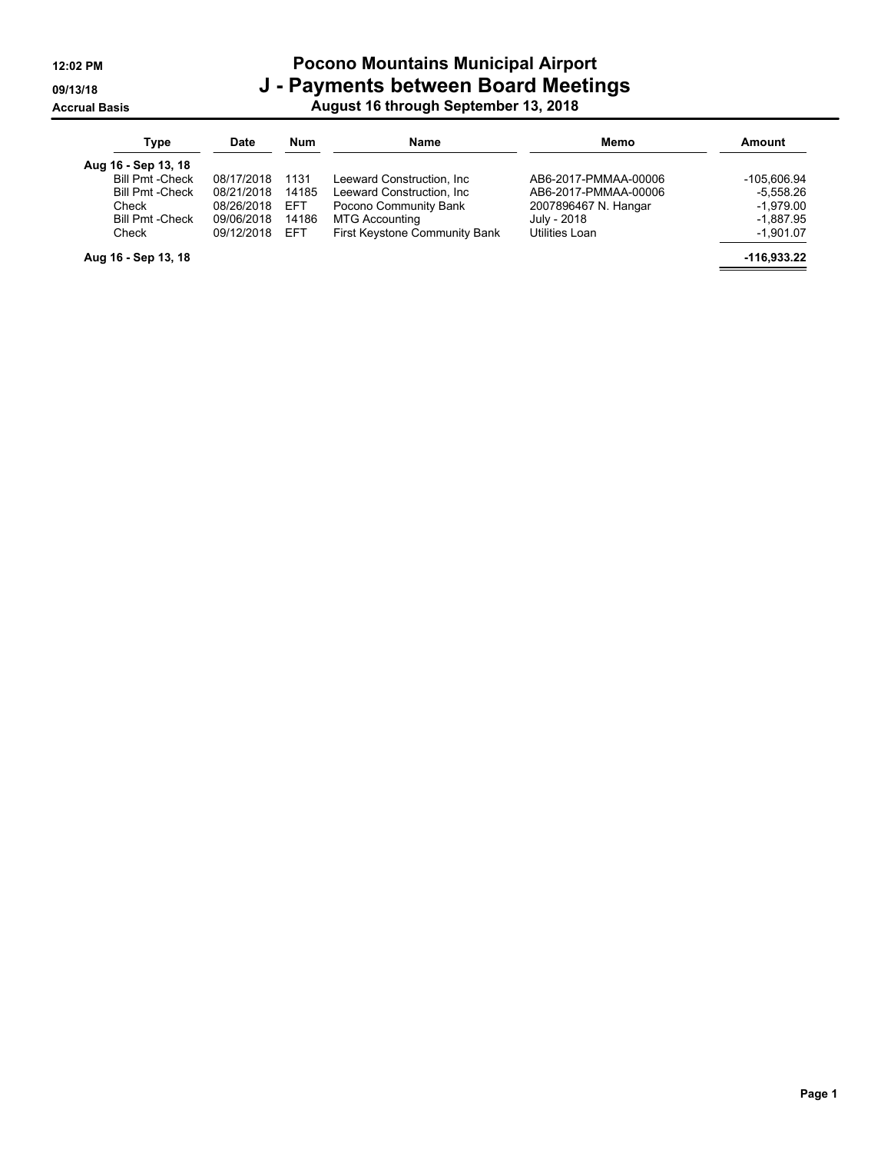### **12:02 PM Pocono Mountains Municipal Airport 09/13/18 J - Payments between Board Meetings Accrual Basis August 16 through September 13, 2018**

| Type                    | <b>Date</b> | <b>Num</b> | <b>Name</b>                   | Memo                 | Amount      |
|-------------------------|-------------|------------|-------------------------------|----------------------|-------------|
| Aug 16 - Sep 13, 18     |             |            |                               |                      |             |
| <b>Bill Pmt - Check</b> | 08/17/2018  | 1131       | Leeward Construction. Inc     | AB6-2017-PMMAA-00006 | -105.606.94 |
| <b>Bill Pmt - Check</b> | 08/21/2018  | 14185      | Leeward Construction, Inc.    | AB6-2017-PMMAA-00006 | $-5,558.26$ |
| Check                   | 08/26/2018  | <b>EFT</b> | Pocono Community Bank         | 2007896467 N. Hangar | $-1.979.00$ |
| <b>Bill Pmt -Check</b>  | 09/06/2018  | 14186      | <b>MTG Accounting</b>         | July - 2018          | $-1,887.95$ |
| Check                   | 09/12/2018  | <b>EFT</b> | First Keystone Community Bank | Utilities Loan       | $-1,901.07$ |
| Aug 16 - Sep 13, 18     |             |            |                               |                      | -116,933.22 |

**Page 1**